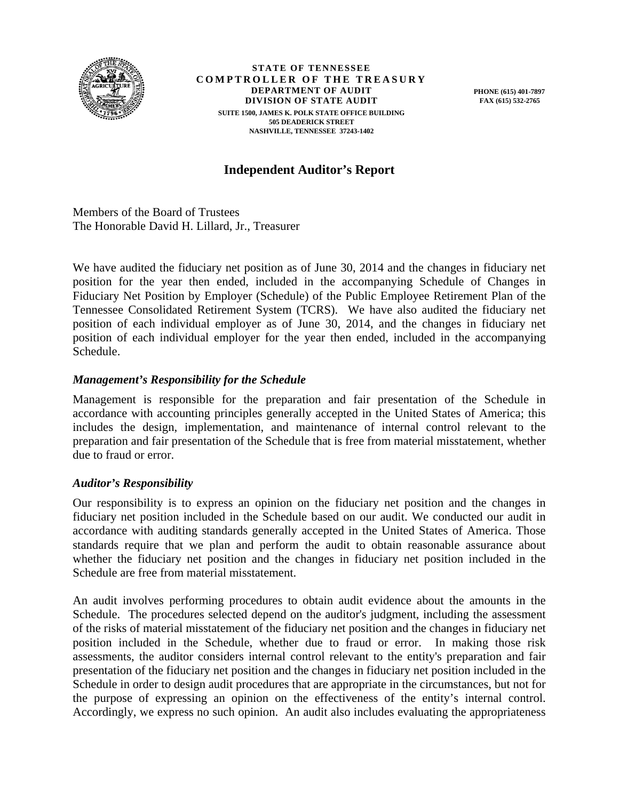

**STATE OF TENNESSEE COMPTROLLER OF THE TREASURY DEPARTMENT OF AUDIT DIVISION OF STATE AUDIT SUITE 1500, JAMES K. POLK STATE OFFICE BUILDING 505 DEADERICK STREET NASHVILLE, TENNESSEE 37243-1402** 

**PHONE (615) 401-7897 FAX (615) 532-2765** 

# **Independent Auditor's Report**

Members of the Board of Trustees The Honorable David H. Lillard, Jr., Treasurer

We have audited the fiduciary net position as of June 30, 2014 and the changes in fiduciary net position for the year then ended, included in the accompanying Schedule of Changes in Fiduciary Net Position by Employer (Schedule) of the Public Employee Retirement Plan of the Tennessee Consolidated Retirement System (TCRS). We have also audited the fiduciary net position of each individual employer as of June 30, 2014, and the changes in fiduciary net position of each individual employer for the year then ended, included in the accompanying Schedule.

## *Management's Responsibility for the Schedule*

Management is responsible for the preparation and fair presentation of the Schedule in accordance with accounting principles generally accepted in the United States of America; this includes the design, implementation, and maintenance of internal control relevant to the preparation and fair presentation of the Schedule that is free from material misstatement, whether due to fraud or error.

## *Auditor's Responsibility*

Our responsibility is to express an opinion on the fiduciary net position and the changes in fiduciary net position included in the Schedule based on our audit. We conducted our audit in accordance with auditing standards generally accepted in the United States of America. Those standards require that we plan and perform the audit to obtain reasonable assurance about whether the fiduciary net position and the changes in fiduciary net position included in the Schedule are free from material misstatement.

An audit involves performing procedures to obtain audit evidence about the amounts in the Schedule. The procedures selected depend on the auditor's judgment, including the assessment of the risks of material misstatement of the fiduciary net position and the changes in fiduciary net position included in the Schedule, whether due to fraud or error. In making those risk assessments, the auditor considers internal control relevant to the entity's preparation and fair presentation of the fiduciary net position and the changes in fiduciary net position included in the Schedule in order to design audit procedures that are appropriate in the circumstances, but not for the purpose of expressing an opinion on the effectiveness of the entity's internal control. Accordingly, we express no such opinion. An audit also includes evaluating the appropriateness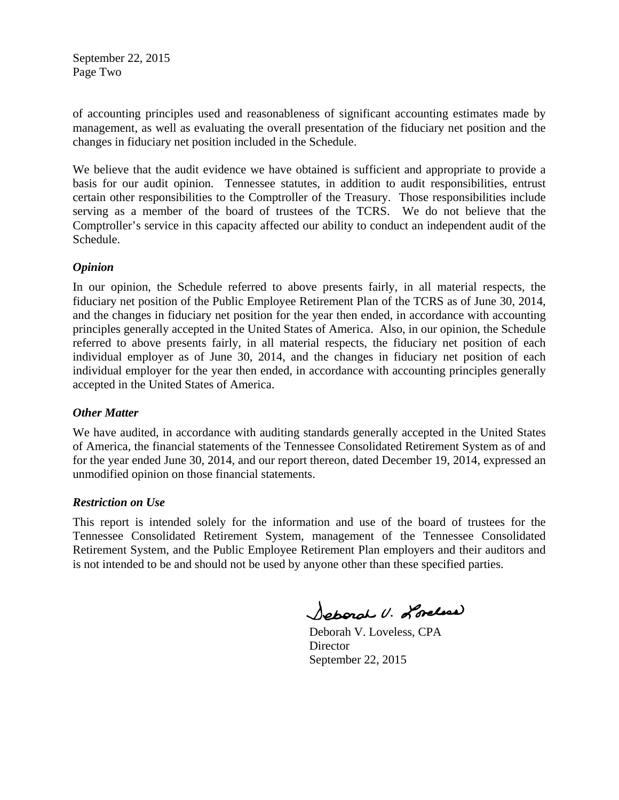September 22, 2015 Page Two

of accounting principles used and reasonableness of significant accounting estimates made by management, as well as evaluating the overall presentation of the fiduciary net position and the changes in fiduciary net position included in the Schedule.

We believe that the audit evidence we have obtained is sufficient and appropriate to provide a basis for our audit opinion. Tennessee statutes, in addition to audit responsibilities, entrust certain other responsibilities to the Comptroller of the Treasury. Those responsibilities include serving as a member of the board of trustees of the TCRS. We do not believe that the Comptroller's service in this capacity affected our ability to conduct an independent audit of the Schedule.

## *Opinion*

In our opinion, the Schedule referred to above presents fairly, in all material respects, the fiduciary net position of the Public Employee Retirement Plan of the TCRS as of June 30, 2014, and the changes in fiduciary net position for the year then ended, in accordance with accounting principles generally accepted in the United States of America. Also, in our opinion, the Schedule referred to above presents fairly, in all material respects, the fiduciary net position of each individual employer as of June 30, 2014, and the changes in fiduciary net position of each individual employer for the year then ended, in accordance with accounting principles generally accepted in the United States of America.

## *Other Matter*

We have audited, in accordance with auditing standards generally accepted in the United States of America, the financial statements of the Tennessee Consolidated Retirement System as of and for the year ended June 30, 2014, and our report thereon, dated December 19, 2014, expressed an unmodified opinion on those financial statements.

## *Restriction on Use*

This report is intended solely for the information and use of the board of trustees for the Tennessee Consolidated Retirement System, management of the Tennessee Consolidated Retirement System, and the Public Employee Retirement Plan employers and their auditors and is not intended to be and should not be used by anyone other than these specified parties.

Separal U. Lordess

 Deborah V. Loveless, CPA **Director** September 22, 2015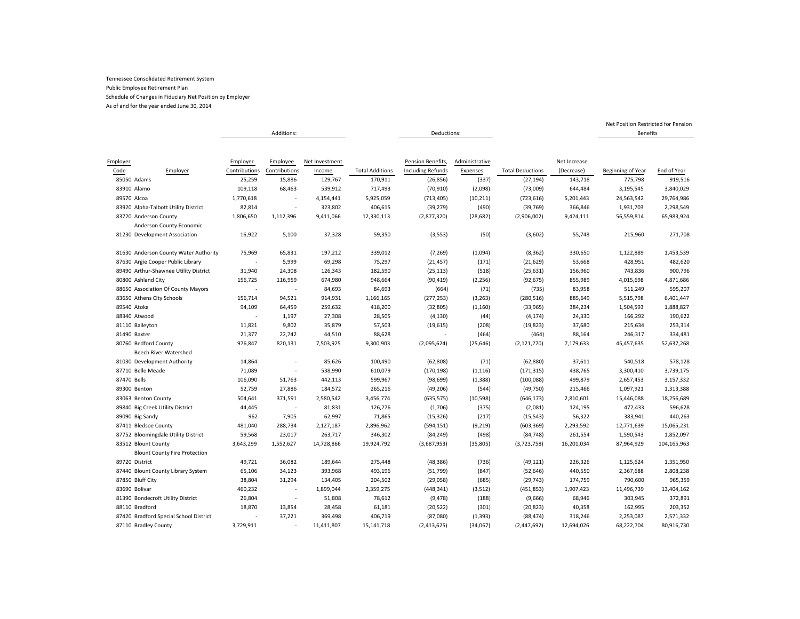As of and for the year ended June 30, 2014

|                                        |                          | Additions:    |                |                        | Deductions:              |                |                         |              | <b>Benefits</b>   |             |
|----------------------------------------|--------------------------|---------------|----------------|------------------------|--------------------------|----------------|-------------------------|--------------|-------------------|-------------|
|                                        |                          |               |                |                        |                          |                |                         |              |                   |             |
|                                        |                          |               |                |                        |                          |                |                         |              |                   |             |
| Employer                               | Employer                 | Employee      | Net Investment |                        | Pension Benefits,        | Administrative |                         | Net Increase |                   |             |
| Code<br>Employer                       | Contributions            | Contributions | Income         | <b>Total Additions</b> | <b>Including Refunds</b> | Expenses       | <b>Total Deductions</b> | (Decrease)   | Beginning of Year | End of Year |
| 85050 Adams                            | 25,259                   | 15,886        | 129,767        | 170,911                | (26, 856)                | (337)          | (27, 194)               | 143,718      | 775,798           | 919,516     |
| 83910 Alamo                            | 109,118                  | 68,463        | 539,912        | 717,493                | (70, 910)                | (2,098)        | (73,009)                | 644,484      | 3,195,545         | 3,840,029   |
| 89570 Alcoa                            | 1,770,618                |               | 4,154,441      | 5,925,059              | (713, 405)               | (10, 211)      | (723, 616)              | 5,201,443    | 24,563,542        | 29,764,986  |
| 83920 Alpha-Talbott Utility District   | 82,814                   |               | 323,802        | 406,615                | (39, 279)                | (490)          | (39, 769)               | 366,846      | 1,931,703         | 2,298,549   |
| 83720 Anderson County                  | 1,806,650                | 1,112,396     | 9,411,066      | 12,330,113             | (2,877,320)              | (28, 682)      | (2,906,002)             | 9,424,111    | 56,559,814        | 65,983,924  |
| Anderson County Economic               |                          |               |                |                        |                          |                |                         |              |                   |             |
| 81230 Development Association          | 16,922                   | 5,100         | 37,328         | 59,350                 | (3, 553)                 | (50)           | (3,602)                 | 55,748       | 215,960           | 271,708     |
| 81630 Anderson County Water Authority  | 75,969                   | 65,831        | 197,212        | 339,012                | (7, 269)                 | (1,094)        | (8, 362)                | 330,650      | 1,122,889         | 1,453,539   |
| 87630 Argie Cooper Public Library      | $\overline{\phantom{a}}$ | 5,999         | 69,298         | 75,297                 | (21, 457)                | (171)          | (21, 629)               | 53,668       | 428,951           | 482,620     |
| 89490 Arthur-Shawnee Utility District  | 31,940                   | 24,308        | 126,343        | 182,590                | (25, 113)                | (518)          | (25, 631)               | 156,960      | 743,836           | 900,796     |
| 80800 Ashland City                     | 156,725                  | 116,959       | 674,980        | 948,664                | (90, 419)                | (2, 256)       | (92, 675)               | 855,989      | 4,015,698         | 4,871,686   |
| 88650 Association Of County Mayors     |                          |               | 84,693         | 84,693                 | (664)                    | (71)           | (735)                   | 83,958       | 511,249           | 595,207     |
| 83650 Athens City Schools              | 156,714                  | 94,521        | 914,931        | 1,166,165              | (277, 253)               | (3, 263)       | (280, 516)              | 885,649      | 5,515,798         | 6,401,447   |
| 89540 Atoka                            | 94,109                   | 64,459        | 259,632        | 418,200                | (32, 805)                | (1, 160)       | (33,965)                | 384,234      | 1,504,593         | 1,888,827   |
| 88340 Atwood                           |                          | 1,197         | 27,308         | 28,505                 | (4, 130)                 | (44)           | (4, 174)                | 24,330       | 166,292           | 190,622     |
| 81110 Baileyton                        | 11,821                   | 9,802         | 35,879         | 57,503                 | (19, 615)                | (208)          | (19, 823)               | 37,680       | 215,634           | 253,314     |
| 81490 Baxter                           | 21,377                   | 22,742        | 44,510         | 88,628                 |                          | (464)          | (464)                   | 88,164       | 246,317           | 334,481     |
| 80760 Bedford County                   | 976,847                  | 820,131       | 7,503,925      | 9,300,903              | (2,095,624)              | (25, 646)      | (2, 121, 270)           | 7,179,633    | 45,457,635        | 52,637,268  |
| Beech River Watershed                  |                          |               |                |                        |                          |                |                         |              |                   |             |
| 81030 Development Authority            | 14,864                   |               | 85,626         | 100,490                | (62, 808)                | (71)           | (62, 880)               | 37,611       | 540,518           | 578,128     |
| 87710 Belle Meade                      | 71,089                   |               | 538,990        | 610,079                | (170, 198)               | (1, 116)       | (171, 315)              | 438,765      | 3,300,410         | 3,739,175   |
| 87470 Bells                            | 106,090                  | 51,763        | 442,113        | 599,967                | (98, 699)                | (1, 388)       | (100, 088)              | 499,879      | 2,657,453         | 3,157,332   |
| 89300 Benton                           | 52,759                   | 27,886        | 184,572        | 265,216                | (49, 206)                | (544)          | (49, 750)               | 215,466      | 1,097,921         | 1,313,388   |
| 83063 Benton County                    | 504,641                  | 371,591       | 2,580,542      | 3,456,774              | (635, 575)               | (10, 598)      | (646, 173)              | 2,810,601    | 15,446,088        | 18,256,689  |
| 89840 Big Creek Utility District       | 44,445                   |               | 81,831         | 126,276                | (1,706)                  | (375)          | (2,081)                 | 124,195      | 472,433           | 596,628     |
| 89090 Big Sandy                        | 962                      | 7,905         | 62,997         | 71,865                 | (15, 326)                | (217)          | (15, 543)               | 56,322       | 383,941           | 440,263     |
| 87411 Bledsoe County                   | 481,040                  | 288,734       | 2,127,187      | 2,896,962              | (594, 151)               | (9, 219)       | (603, 369)              | 2,293,592    | 12,771,639        | 15,065,231  |
| 87752 Bloomingdale Utility District    | 59,568                   | 23,017        | 263,717        | 346,302                | (84, 249)                | (498)          | (84, 748)               | 261,554      | 1,590,543         | 1,852,097   |
| 83512 Blount County                    | 3,643,299                | 1,552,627     | 14,728,866     | 19,924,792             | (3,687,953)              | (35, 805)      | (3,723,758)             | 16,201,034   | 87,964,929        | 104,165,963 |
| <b>Blount County Fire Protection</b>   |                          |               |                |                        |                          |                |                         |              |                   |             |
| 89720 District                         | 49,721                   | 36,082        | 189,644        | 275,448                | (48, 386)                | (736)          | (49, 121)               | 226,326      | 1,125,624         | 1,351,950   |
| 87440 Blount County Library System     | 65,106                   | 34,123        | 393,968        | 493,196                | (51, 799)                | (847)          | (52, 646)               | 440,550      | 2,367,688         | 2,808,238   |
| 87850 Bluff City                       | 38,804                   | 31,294        | 134,405        | 204,502                | (29,058)                 | (685)          | (29, 743)               | 174,759      | 790,600           | 965,359     |
| 83690 Bolivar                          | 460,232                  |               | 1,899,044      | 2,359,275              | (448, 341)               | (3, 512)       | (451, 853)              | 1,907,423    | 11,496,739        | 13,404,162  |
| 81390 Bondecroft Utility District      | 26,804                   |               | 51,808         | 78,612                 | (9, 478)                 | (188)          | (9,666)                 | 68,946       | 303,945           | 372,891     |
| 88110 Bradford                         | 18,870                   | 13,854        | 28,458         | 61,181                 | (20, 522)                | (301)          | (20, 823)               | 40,358       | 162,995           | 203,352     |
| 87420 Bradford Special School District |                          | 37,221        | 369,498        | 406,719                | (87,080)                 | (1, 393)       | (88, 474)               | 318,246      | 2,253,087         | 2,571,332   |
| 87110 Bradley County                   | 3,729,911                |               | 11,411,807     | 15,141,718             | (2,413,625)              | (34,067)       | (2, 447, 692)           | 12,694,026   | 68,222,704        | 80,916,730  |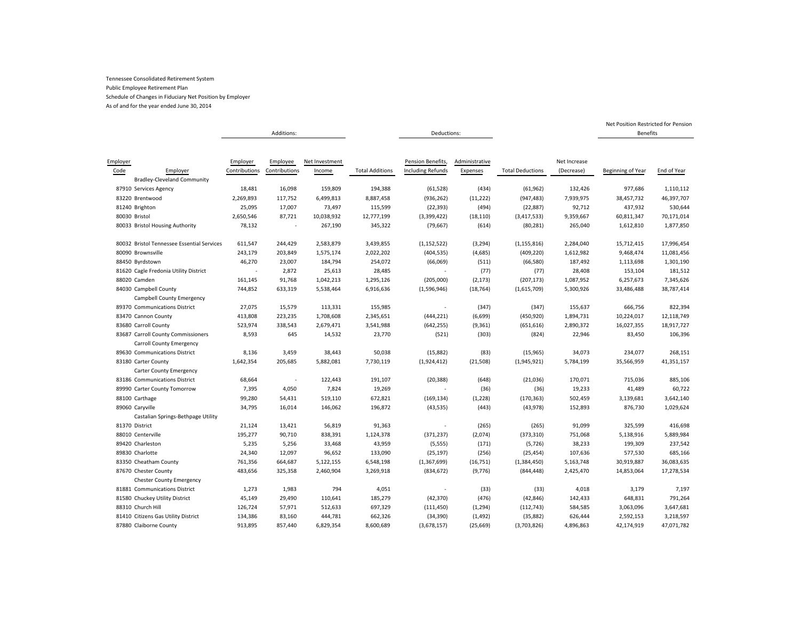As of and for the year ended June 30, 2014

|          |                                            |               | Additions:    |                |                        | Deductions:              |                |                         |              | <b>Benefits</b>   |             |
|----------|--------------------------------------------|---------------|---------------|----------------|------------------------|--------------------------|----------------|-------------------------|--------------|-------------------|-------------|
|          |                                            |               |               |                |                        |                          |                |                         |              |                   |             |
|          |                                            |               |               |                |                        |                          |                |                         |              |                   |             |
| Employer |                                            | Employer      | Employee      | Net Investment |                        | Pension Benefits,        | Administrative |                         | Net Increase |                   |             |
| Code     | Employer                                   | Contributions | Contributions | Income         | <b>Total Additions</b> | <b>Including Refunds</b> | Expenses       | <b>Total Deductions</b> | (Decrease)   | Beginning of Year | End of Year |
|          | <b>Bradley-Cleveland Community</b>         |               |               |                |                        |                          |                |                         |              |                   |             |
|          | 87910 Services Agency                      | 18,481        | 16,098        | 159,809        | 194,388                | (61, 528)                | (434)          | (61, 962)               | 132,426      | 977,686           | 1,110,112   |
|          | 83220 Brentwood                            | 2,269,893     | 117,752       | 6,499,813      | 8,887,458              | (936, 262)               | (11, 222)      | (947, 483)              | 7,939,975    | 38,457,732        | 46,397,707  |
|          | 81240 Brighton                             | 25,095        | 17,007        | 73,497         | 115,599                | (22, 393)                | (494)          | (22, 887)               | 92,712       | 437,932           | 530,644     |
|          | 80030 Bristol                              | 2,650,546     | 87,721        | 10,038,932     | 12,777,199             | (3,399,422)              | (18, 110)      | (3, 417, 533)           | 9,359,667    | 60,811,347        | 70,171,014  |
|          | 80033 Bristol Housing Authority            | 78,132        |               | 267,190        | 345,322                | (79, 667)                | (614)          | (80, 281)               | 265,040      | 1,612,810         | 1,877,850   |
|          | 80032 Bristol Tennessee Essential Services | 611,547       | 244,429       | 2,583,879      | 3,439,855              | (1, 152, 522)            | (3, 294)       | (1, 155, 816)           | 2,284,040    | 15,712,415        | 17,996,454  |
|          | 80090 Brownsville                          | 243,179       | 203,849       | 1,575,174      | 2,022,202              | (404, 535)               | (4,685)        | (409, 220)              | 1,612,982    | 9,468,474         | 11,081,456  |
|          | 88450 Byrdstown                            | 46,270        | 23,007        | 184,794        | 254,072                | (66,069)                 | (511)          | (66, 580)               | 187,492      | 1,113,698         | 1,301,190   |
|          | 81620 Cagle Fredonia Utility District      | $\sim$        | 2,872         | 25,613         | 28,485                 |                          | (77)           | (77)                    | 28,408       | 153,104           | 181,512     |
|          | 88020 Camden                               | 161,145       | 91,768        | 1,042,213      | 1,295,126              | (205,000)                | (2, 173)       | (207, 173)              | 1,087,952    | 6,257,673         | 7,345,626   |
|          | 84030 Campbell County                      | 744,852       | 633,319       | 5,538,464      | 6,916,636              | (1,596,946)              | (18, 764)      | (1,615,709)             | 5,300,926    | 33,486,488        | 38,787,414  |
|          | Campbell County Emergency                  |               |               |                |                        |                          |                |                         |              |                   |             |
|          | 89370 Communications District              | 27,075        | 15,579        | 113,331        | 155,985                | $\overline{\phantom{a}}$ | (347)          | (347)                   | 155,637      | 666,756           | 822,394     |
|          | 83470 Cannon County                        | 413,808       | 223,235       | 1,708,608      | 2,345,651              | (444, 221)               | (6,699)        | (450, 920)              | 1,894,731    | 10,224,017        | 12,118,749  |
|          | 83680 Carroll County                       | 523,974       | 338,543       | 2,679,471      | 3,541,988              | (642, 255)               | (9, 361)       | (651, 616)              | 2,890,372    | 16,027,355        | 18,917,727  |
|          | 83687 Carroll County Commissioners         | 8,593         | 645           | 14,532         | 23,770                 | (521)                    | (303)          | (824)                   | 22,946       | 83,450            | 106,396     |
|          | Carroll County Emergency                   |               |               |                |                        |                          |                |                         |              |                   |             |
|          | 89630 Communications District              | 8,136         | 3,459         | 38,443         | 50,038                 | (15, 882)                | (83)           | (15, 965)               | 34,073       | 234,077           | 268,151     |
|          | 83180 Carter County                        | 1,642,354     | 205,685       | 5,882,081      | 7,730,119              | (1,924,412)              | (21, 508)      | (1,945,921)             | 5,784,199    | 35,566,959        | 41,351,157  |
|          | Carter County Emergency                    |               |               |                |                        |                          |                |                         |              |                   |             |
|          | 83186 Communications District              | 68,664        |               | 122,443        | 191,107                | (20, 388)                | (648)          | (21,036)                | 170,071      | 715,036           | 885,106     |
|          | 89990 Carter County Tomorrow               | 7,395         | 4,050         | 7,824          | 19,269                 |                          | (36)           | (36)                    | 19,233       | 41,489            | 60,722      |
|          | 88100 Carthage                             | 99,280        | 54,431        | 519,110        | 672,821                | (169, 134)               | (1, 228)       | (170, 363)              | 502,459      | 3,139,681         | 3,642,140   |
|          | 89060 Caryville                            | 34,795        | 16,014        | 146,062        | 196,872                | (43, 535)                | (443)          | (43, 978)               | 152,893      | 876,730           | 1,029,624   |
|          | Castalian Springs-Bethpage Utility         |               |               |                |                        |                          |                |                         |              |                   |             |
|          | 81370 District                             | 21,124        | 13,421        | 56,819         | 91,363                 | ÷,                       | (265)          | (265)                   | 91,099       | 325,599           | 416,698     |
|          | 88010 Centerville                          | 195,277       | 90,710        | 838,391        | 1,124,378              | (371, 237)               | (2,074)        | (373, 310)              | 751,068      | 5,138,916         | 5,889,984   |
|          | 89420 Charleston                           | 5,235         | 5,256         | 33,468         | 43,959                 | (5, 555)                 | (171)          | (5, 726)                | 38,233       | 199,309           | 237,542     |
|          | 89830 Charlotte                            | 24,340        | 12,097        | 96,652         | 133,090                | (25, 197)                | (256)          | (25, 454)               | 107,636      | 577,530           | 685,166     |
|          | 83350 Cheatham County                      | 761,356       | 664,687       | 5,122,155      | 6,548,198              | (1, 367, 699)            | (16, 751)      | (1,384,450)             | 5,163,748    | 30,919,887        | 36,083,635  |
|          | 87670 Chester County                       | 483,656       | 325,358       | 2,460,904      | 3,269,918              | (834, 672)               | (9,776)        | (844, 448)              | 2,425,470    | 14,853,064        | 17,278,534  |
|          | <b>Chester County Emergency</b>            |               |               |                |                        |                          |                |                         |              |                   |             |
|          | 81881 Communications District              | 1,273         | 1,983         | 794            | 4,051                  | $\overline{\phantom{a}}$ | (33)           | (33)                    | 4,018        | 3,179             | 7,197       |
|          | 81580 Chuckey Utility District             | 45,149        | 29,490        | 110,641        | 185,279                | (42, 370)                | (476)          | (42, 846)               | 142,433      | 648,831           | 791,264     |
|          | 88310 Church Hill                          | 126,724       | 57,971        | 512,633        | 697,329                | (111, 450)               | (1, 294)       | (112, 743)              | 584,585      | 3,063,096         | 3,647,681   |
|          | 81410 Citizens Gas Utility District        | 134,386       | 83,160        | 444,781        | 662,326                | (34, 390)                | (1, 492)       | (35, 882)               | 626,444      | 2,592,153         | 3,218,597   |
|          | 87880 Claiborne County                     | 913,895       | 857,440       | 6,829,354      | 8,600,689              | (3,678,157)              | (25, 669)      | (3,703,826)             | 4,896,863    | 42,174,919        | 47,071,782  |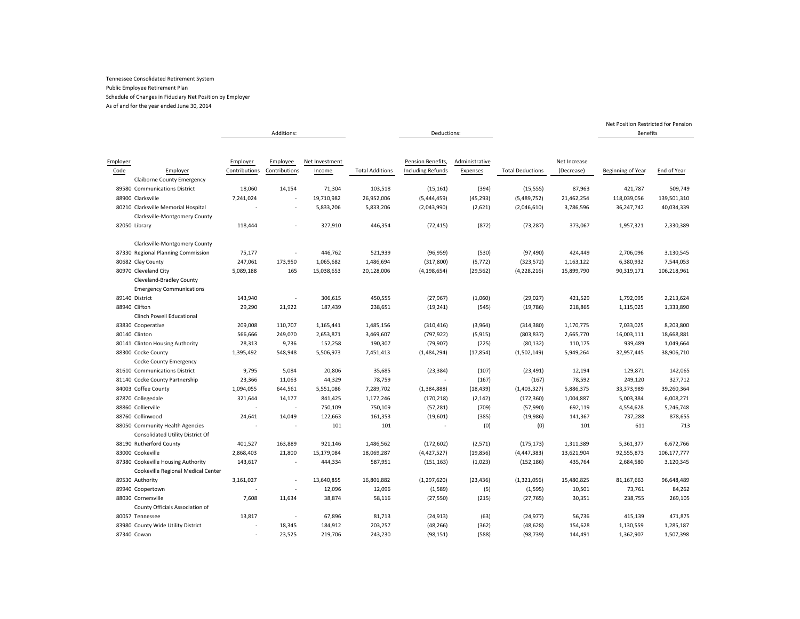As of and for the year ended June 30, 2014

|                  |                                                                                     |                           | Additions:                |                          |                        | Deductions:                                   |                            |                         |                            | <b>Benefits</b>   |             |
|------------------|-------------------------------------------------------------------------------------|---------------------------|---------------------------|--------------------------|------------------------|-----------------------------------------------|----------------------------|-------------------------|----------------------------|-------------------|-------------|
|                  |                                                                                     |                           |                           |                          |                        |                                               |                            |                         |                            |                   |             |
| Employer<br>Code | Employer<br><b>Claiborne County Emergency</b>                                       | Employer<br>Contributions | Employee<br>Contributions | Net Investment<br>Income | <b>Total Additions</b> | Pension Benefits,<br><b>Including Refunds</b> | Administrative<br>Expenses | <b>Total Deductions</b> | Net Increase<br>(Decrease) | Beginning of Year | End of Year |
|                  | 89580 Communications District                                                       | 18,060                    | 14,154                    | 71,304                   | 103,518                | (15, 161)                                     | (394)                      | (15, 555)               | 87,963                     | 421,787           | 509,749     |
|                  | 88900 Clarksville                                                                   | 7,241,024                 |                           | 19,710,982               | 26,952,006             | (5,444,459)                                   | (45, 293)                  | (5,489,752)             | 21,462,254                 | 118,039,056       | 139,501,310 |
|                  | 80210 Clarksville Memorial Hospital<br>Clarksville-Montgomery County                |                           |                           | 5,833,206                | 5,833,206              | (2,043,990)                                   | (2,621)                    | (2,046,610)             | 3,786,596                  | 36,247,742        | 40,034,339  |
|                  | 82050 Library                                                                       | 118,444                   |                           | 327,910                  | 446,354                | (72, 415)                                     | (872)                      | (73, 287)               | 373,067                    | 1,957,321         | 2,330,389   |
|                  | Clarksville-Montgomery County                                                       |                           |                           |                          |                        |                                               |                            |                         |                            |                   |             |
|                  | 87330 Regional Planning Commission                                                  | 75,177                    | ×,                        | 446,762                  | 521,939                | (96, 959)                                     | (530)                      | (97, 490)               | 424,449                    | 2,706,096         | 3,130,545   |
|                  | 80682 Clay County                                                                   | 247,061                   | 173,950                   | 1,065,682                | 1,486,694              | (317, 800)                                    | (5, 772)                   | (323, 572)              | 1,163,122                  | 6,380,932         | 7,544,053   |
|                  | 80970 Cleveland City<br>Cleveland-Bradley County<br><b>Emergency Communications</b> | 5,089,188                 | 165                       | 15,038,653               | 20,128,006             | (4, 198, 654)                                 | (29, 562)                  | (4,228,216)             | 15,899,790                 | 90,319,171        | 106,218,961 |
|                  | 89140 District                                                                      | 143,940                   |                           | 306,615                  | 450,555                | (27, 967)                                     | (1,060)                    | (29, 027)               | 421,529                    | 1,792,095         | 2,213,624   |
|                  | 88940 Clifton                                                                       | 29,290                    | 21,922                    | 187,439                  | 238,651                | (19, 241)                                     | (545)                      | (19, 786)               | 218,865                    | 1,115,025         | 1,333,890   |
|                  | <b>Clinch Powell Educational</b>                                                    |                           |                           |                          |                        |                                               |                            |                         |                            |                   |             |
|                  | 83830 Cooperative                                                                   | 209,008                   | 110,707                   | 1,165,441                | 1,485,156              | (310, 416)                                    | (3,964)                    | (314, 380)              | 1,170,775                  | 7,033,025         | 8,203,800   |
|                  | 80140 Clinton                                                                       | 566,666                   | 249,070                   | 2,653,871                | 3,469,607              | (797, 922)                                    | (5, 915)                   | (803, 837)              | 2,665,770                  | 16,003,111        | 18,668,881  |
|                  | 80141 Clinton Housing Authority                                                     | 28,313                    | 9,736                     | 152,258                  | 190,307                | (79, 907)                                     | (225)                      | (80, 132)               | 110,175                    | 939,489           | 1,049,664   |
|                  | 88300 Cocke County<br>Cocke County Emergency                                        | 1,395,492                 | 548,948                   | 5,506,973                | 7,451,413              | (1,484,294)                                   | (17, 854)                  | (1,502,149)             | 5,949,264                  | 32,957,445        | 38,906,710  |
|                  | 81610 Communications District                                                       | 9,795                     | 5,084                     | 20,806                   | 35,685                 | (23, 384)                                     | (107)                      | (23, 491)               | 12,194                     | 129,871           | 142,065     |
|                  | 81140 Cocke County Partnership                                                      | 23,366                    | 11,063                    | 44,329                   | 78,759                 |                                               | (167)                      | (167)                   | 78,592                     | 249,120           | 327,712     |
|                  | 84003 Coffee County                                                                 | 1,094,055                 | 644,561                   | 5,551,086                | 7,289,702              | (1, 384, 888)                                 | (18, 439)                  | (1,403,327)             | 5,886,375                  | 33,373,989        | 39,260,364  |
|                  | 87870 Collegedale                                                                   | 321,644                   | 14,177                    | 841,425                  | 1,177,246              | (170, 218)                                    | (2, 142)                   | (172, 360)              | 1,004,887                  | 5,003,384         | 6,008,271   |
|                  | 88860 Collierville                                                                  |                           |                           | 750,109                  | 750,109                | (57, 281)                                     | (709)                      | (57,990)                | 692,119                    | 4,554,628         | 5,246,748   |
|                  | 88760 Collinwood                                                                    | 24,641                    | 14,049                    | 122,663                  | 161,353                | (19,601)                                      | (385)                      | (19,986)                | 141,367                    | 737,288           | 878,655     |
|                  | 88050 Community Health Agencies<br>Consolidated Utility District Of                 |                           |                           | 101                      | 101                    |                                               | (0)                        | (0)                     | 101                        | 611               | 713         |
|                  | 88190 Rutherford County                                                             | 401,527                   | 163,889                   | 921,146                  | 1,486,562              | (172, 602)                                    | (2, 571)                   | (175, 173)              | 1,311,389                  | 5,361,377         | 6,672,766   |
|                  | 83000 Cookeville                                                                    | 2,868,403                 | 21,800                    | 15,179,084               | 18,069,287             | (4,427,527)                                   | (19, 856)                  | (4, 447, 383)           | 13,621,904                 | 92,555,873        | 106,177,777 |
|                  | 87380 Cookeville Housing Authority                                                  | 143,617                   |                           | 444,334                  | 587,951                | (151, 163)                                    | (1,023)                    | (152, 186)              | 435,764                    | 2,684,580         | 3,120,345   |
|                  | Cookeville Regional Medical Center                                                  |                           |                           |                          |                        |                                               |                            |                         |                            |                   |             |
|                  | 89530 Authority                                                                     | 3,161,027                 |                           | 13,640,855               | 16,801,882             | (1, 297, 620)                                 | (23, 436)                  | (1,321,056)             | 15,480,825                 | 81,167,663        | 96,648,489  |
|                  | 89940 Coopertown                                                                    |                           |                           | 12,096                   | 12,096                 | (1,589)                                       | (5)                        | (1, 595)                | 10,501                     | 73,761            | 84,262      |
|                  | 88030 Cornersville<br>County Officials Association of                               | 7,608                     | 11,634                    | 38,874                   | 58,116                 | (27, 550)                                     | (215)                      | (27, 765)               | 30,351                     | 238,755           | 269,105     |
|                  | 80057 Tennessee                                                                     | 13,817                    |                           | 67,896                   | 81,713                 | (24, 913)                                     | (63)                       | (24, 977)               | 56,736                     | 415,139           | 471,875     |
|                  | 83980 County Wide Utility District                                                  |                           | 18,345                    | 184,912                  | 203,257                | (48, 266)                                     | (362)                      | (48, 628)               | 154,628                    | 1,130,559         | 1,285,187   |
|                  | 87340 Cowan                                                                         |                           | 23,525                    | 219,706                  | 243,230                | (98, 151)                                     | (588)                      | (98, 739)               | 144,491                    | 1,362,907         | 1,507,398   |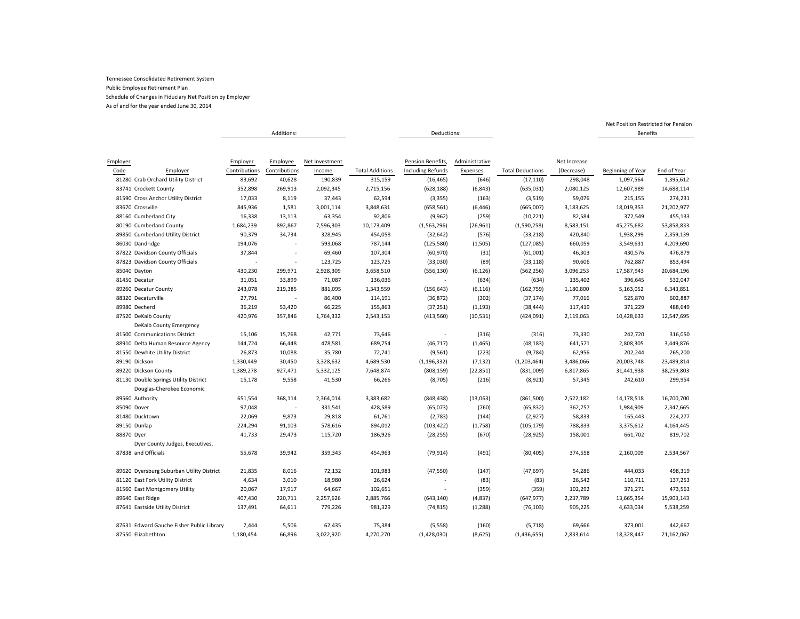As of and for the year ended June 30, 2014

|                                           |               | Additions:    |                |                        | Deductions:              |                |                         |              | <b>Benefits</b>   |             |
|-------------------------------------------|---------------|---------------|----------------|------------------------|--------------------------|----------------|-------------------------|--------------|-------------------|-------------|
|                                           |               |               |                |                        |                          |                |                         |              |                   |             |
|                                           |               |               |                |                        |                          |                |                         |              |                   |             |
| Employer                                  | Employer      | Employee      | Net Investment |                        | Pension Benefits,        | Administrative |                         | Net Increase |                   |             |
| Code<br>Employer                          | Contributions | Contributions | Income         | <b>Total Additions</b> | <b>Including Refunds</b> | Expenses       | <b>Total Deductions</b> | (Decrease)   | Beginning of Year | End of Year |
| 81280 Crab Orchard Utility District       | 83,692        | 40,628        | 190,839        | 315,159                | (16, 465)                | (646)          | (17, 110)               | 298,048      | 1,097,564         | 1,395,612   |
| 83741 Crockett County                     | 352,898       | 269,913       | 2,092,345      | 2,715,156              | (628, 188)               | (6, 843)       | (635,031)               | 2,080,125    | 12,607,989        | 14,688,114  |
| 81590 Cross Anchor Utility District       | 17,033        | 8,119         | 37,443         | 62,594                 | (3, 355)                 | (163)          | (3,519)                 | 59,076       | 215,155           | 274,231     |
| 83670 Crossville                          | 845,936       | 1,581         | 3,001,114      | 3,848,631              | (658, 561)               | (6, 446)       | (665,007)               | 3,183,625    | 18,019,353        | 21,202,977  |
| 88160 Cumberland City                     | 16,338        | 13,113        | 63,354         | 92,806                 | (9,962)                  | (259)          | (10, 221)               | 82,584       | 372,549           | 455,133     |
| 80190 Cumberland County                   | 1,684,239     | 892,867       | 7,596,303      | 10,173,409             | (1,563,296)              | (26, 961)      | (1,590,258)             | 8,583,151    | 45,275,682        | 53,858,833  |
| 89850 Cumberland Utility District         | 90,379        | 34,734        | 328,945        | 454,058                | (32, 642)                | (576)          | (33, 218)               | 420,840      | 1,938,299         | 2,359,139   |
| 86030 Dandridge                           | 194,076       |               | 593,068        | 787,144                | (125, 580)               | (1,505)        | (127, 085)              | 660,059      | 3,549,631         | 4,209,690   |
| 87822 Davidson County Officials           | 37,844        |               | 69,460         | 107,304                | (60, 970)                | (31)           | (61,001)                | 46,303       | 430,576           | 476,879     |
| 87823 Davidson County Officials           |               |               | 123,725        | 123,725                | (33,030)                 | (89)           | (33, 118)               | 90,606       | 762,887           | 853,494     |
| 85040 Dayton                              | 430,230       | 299,971       | 2,928,309      | 3,658,510              | (556, 130)               | (6, 126)       | (562, 256)              | 3,096,253    | 17,587,943        | 20,684,196  |
| 81450 Decatur                             | 31,051        | 33,899        | 71,087         | 136,036                |                          | (634)          | (634)                   | 135,402      | 396,645           | 532,047     |
| 89260 Decatur County                      | 243,078       | 219,385       | 881,095        | 1,343,559              | (156, 643)               | (6, 116)       | (162, 759)              | 1,180,800    | 5,163,052         | 6,343,851   |
| 88320 Decaturville                        | 27,791        |               | 86,400         | 114,191                | (36, 872)                | (302)          | (37, 174)               | 77,016       | 525,870           | 602,887     |
| 89980 Decherd                             | 36,219        | 53,420        | 66,225         | 155,863                | (37, 251)                | (1, 193)       | (38, 444)               | 117,419      | 371,229           | 488,649     |
| 87520 DeKalb County                       | 420,976       | 357,846       | 1,764,332      | 2,543,153              | (413, 560)               | (10, 531)      | (424,091)               | 2,119,063    | 10,428,633        | 12,547,695  |
| DeKalb County Emergency                   |               |               |                |                        |                          |                |                         |              |                   |             |
| 81500 Communications District             | 15,106        | 15,768        | 42,771         | 73,646                 |                          | (316)          | (316)                   | 73,330       | 242,720           | 316,050     |
| 88910 Delta Human Resource Agency         | 144,724       | 66,448        | 478,581        | 689,754                | (46, 717)                | (1, 465)       | (48, 183)               | 641,571      | 2,808,305         | 3,449,876   |
| 81550 Dewhite Utility District            | 26,873        | 10,088        | 35,780         | 72,741                 | (9, 561)                 | (223)          | (9,784)                 | 62,956       | 202,244           | 265,200     |
| 89190 Dickson                             | 1,330,449     | 30,450        | 3,328,632      | 4,689,530              | (1, 196, 332)            | (7, 132)       | (1,203,464)             | 3,486,066    | 20,003,748        | 23,489,814  |
| 89220 Dickson County                      | 1,389,278     | 927,471       | 5,332,125      | 7,648,874              | (808, 159)               | (22, 851)      | (831,009)               | 6,817,865    | 31,441,938        | 38,259,803  |
| 81130 Double Springs Utility District     | 15,178        | 9,558         | 41,530         | 66,266                 | (8,705)                  | (216)          | (8,921)                 | 57,345       | 242,610           | 299,954     |
| Douglas-Cherokee Economic                 |               |               |                |                        |                          |                |                         |              |                   |             |
| 89560 Authority                           | 651,554       | 368,114       | 2,364,014      | 3,383,682              | (848, 438)               | (13,063)       | (861, 500)              | 2,522,182    | 14,178,518        | 16,700,700  |
| 85090 Dover                               | 97,048        |               | 331,541        | 428,589                | (65,073)                 | (760)          | (65, 832)               | 362,757      | 1,984,909         | 2,347,665   |
| 81480 Ducktown                            | 22,069        | 9,873         | 29,818         | 61,761                 | (2,783)                  | (144)          | (2,927)                 | 58,833       | 165,443           | 224,277     |
| 89150 Dunlap                              | 224,294       | 91,103        | 578,616        | 894,012                | (103, 422)               | (1,758)        | (105, 179)              | 788,833      | 3,375,612         | 4,164,445   |
| 88870 Dyer                                | 41,733        | 29,473        | 115,720        | 186,926                | (28, 255)                | (670)          | (28, 925)               | 158,001      | 661,702           | 819,702     |
| Dyer County Judges, Executives,           |               |               |                |                        |                          |                |                         |              |                   |             |
| 87838 and Officials                       |               |               | 359,343        |                        |                          |                |                         |              |                   |             |
|                                           | 55,678        | 39,942        |                | 454,963                | (79, 914)                | (491)          | (80, 405)               | 374,558      | 2,160,009         | 2,534,567   |
|                                           |               |               |                |                        |                          |                |                         |              |                   |             |
| 89620 Dyersburg Suburban Utility District | 21,835        | 8,016         | 72,132         | 101,983                | (47, 550)                | (147)          | (47, 697)               | 54,286       | 444,033           | 498,319     |
| 81120 East Fork Utility District          | 4,634         | 3,010         | 18,980         | 26,624                 |                          | (83)           | (83)                    | 26,542       | 110,711           | 137,253     |
| 81560 East Montgomery Utility             | 20,067        | 17,917        | 64,667         | 102,651                |                          | (359)          | (359)                   | 102,292      | 371,271           | 473,563     |
| 89640 East Ridge                          | 407,430       | 220,711       | 2,257,626      | 2,885,766              | (643, 140)               | (4, 837)       | (647, 977)              | 2,237,789    | 13,665,354        | 15,903,143  |
| 87641 Eastside Utility District           | 137,491       | 64,611        | 779,226        | 981,329                | (74, 815)                | (1, 288)       | (76, 103)               | 905,225      | 4,633,034         | 5,538,259   |
| 87631 Edward Gauche Fisher Public Library | 7,444         | 5,506         | 62,435         | 75,384                 | (5,558)                  | (160)          | (5,718)                 | 69,666       | 373,001           | 442,667     |
| 87550 Elizabethton                        | 1,180,454     | 66,896        | 3,022,920      | 4,270,270              | (1,428,030)              | (8,625)        | (1, 436, 655)           | 2,833,614    | 18,328,447        | 21,162,062  |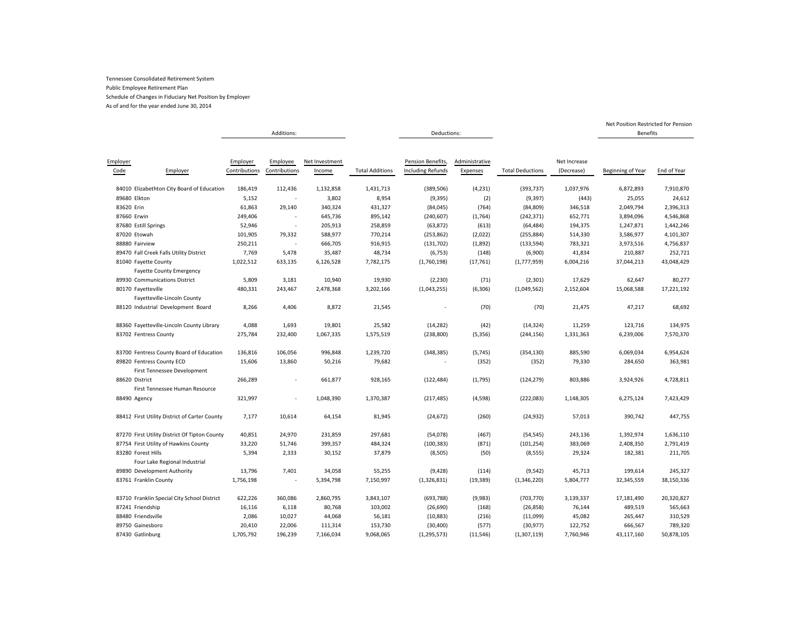As of and for the year ended June 30, 2014

|                       |                                                          |                           | Additions:                |                          |                        | Deductions:                                   |                            |                         |                            | <b>Benefits</b>   |             |
|-----------------------|----------------------------------------------------------|---------------------------|---------------------------|--------------------------|------------------------|-----------------------------------------------|----------------------------|-------------------------|----------------------------|-------------------|-------------|
| Employer<br>Code      | Employer                                                 | Employer<br>Contributions | Employee<br>Contributions | Net Investment<br>Income | <b>Total Additions</b> | Pension Benefits,<br><b>Including Refunds</b> | Administrative<br>Expenses | <b>Total Deductions</b> | Net Increase<br>(Decrease) | Beginning of Year | End of Year |
|                       | 84010 Elizabethton City Board of Education               | 186,419                   | 112,436                   | 1,132,858                | 1,431,713              | (389, 506)                                    | (4, 231)                   | (393, 737)              | 1,037,976                  | 6,872,893         | 7,910,870   |
| 89680 Elkton          |                                                          | 5,152                     |                           | 3,802                    | 8,954                  | (9, 395)                                      | (2)                        | (9, 397)                | (443)                      | 25,055            | 24,612      |
| 83620 Erin            |                                                          | 61,863                    | 29,140                    | 340,324                  | 431,327                | (84, 045)                                     | (764)                      | (84, 809)               | 346,518                    | 2,049,794         | 2,396,313   |
| 87660 Erwin           |                                                          | 249,406                   |                           | 645,736                  | 895,142                | (240, 607)                                    | (1,764)                    | (242, 371)              | 652,771                    | 3,894,096         | 4,546,868   |
| 87680 Estill Springs  |                                                          | 52,946                    |                           | 205,913                  | 258,859                | (63, 872)                                     | (613)                      | (64, 484)               | 194,375                    | 1,247,871         | 1,442,246   |
| 87020 Etowah          |                                                          | 101,905                   | 79,332                    | 588,977                  | 770,214                | (253, 862)                                    | (2,022)                    | (255, 884)              | 514,330                    | 3,586,977         | 4,101,307   |
| 88880 Fairview        |                                                          | 250,211                   |                           | 666,705                  | 916,915                | (131, 702)                                    | (1,892)                    | (133, 594)              | 783,321                    | 3,973,516         | 4,756,837   |
|                       | 89470 Fall Creek Falls Utility District                  | 7,769                     | 5,478                     | 35,487                   | 48,734                 | (6, 753)                                      | (148)                      | (6,900)                 | 41,834                     | 210,887           | 252,721     |
| 81040 Fayette County  | <b>Fayette County Emergency</b>                          | 1,022,512                 | 633,135                   | 6,126,528                | 7,782,175              | (1,760,198)                                   | (17, 761)                  | (1,777,959)             | 6,004,216                  | 37,044,213        | 43,048,429  |
|                       | 89930 Communications District                            | 5,809                     | 3,181                     | 10,940                   | 19,930                 | (2, 230)                                      | (71)                       | (2,301)                 | 17,629                     | 62,647            | 80,277      |
| 80170 Fayetteville    |                                                          | 480,331                   | 243,467                   | 2,478,368                | 3,202,166              | (1,043,255)                                   | (6,306)                    | (1,049,562)             | 2,152,604                  | 15,068,588        | 17,221,192  |
|                       | Fayetteville-Lincoln County                              |                           |                           |                          |                        |                                               |                            |                         |                            |                   |             |
|                       | 88120 Industrial Development Board                       | 8,266                     | 4,406                     | 8,872                    | 21,545                 |                                               | (70)                       | (70)                    | 21,475                     | 47,217            | 68,692      |
|                       | 88360 Fayetteville-Lincoln County Library                | 4,088                     | 1,693                     | 19,801                   | 25,582                 | (14, 282)                                     | (42)                       | (14, 324)               | 11,259                     | 123,716           | 134,975     |
| 83702 Fentress County |                                                          | 275,784                   | 232,400                   | 1,067,335                | 1,575,519              | (238, 800)                                    | (5, 356)                   | (244, 156)              | 1,331,363                  | 6,239,006         | 7,570,370   |
|                       | 83700 Fentress County Board of Education                 | 136,816                   | 106,056                   | 996,848                  | 1,239,720              | (348, 385)                                    | (5,745)                    | (354, 130)              | 885,590                    | 6,069,034         | 6,954,624   |
|                       | 89820 Fentress County ECD<br>First Tennessee Development | 15,606                    | 13,860                    | 50,216                   | 79,682                 |                                               | (352)                      | (352)                   | 79,330                     | 284,650           | 363,981     |
| 88620 District        | First Tennessee Human Resource                           | 266,289                   | ä,                        | 661,877                  | 928,165                | (122, 484)                                    | (1,795)                    | (124, 279)              | 803,886                    | 3,924,926         | 4,728,811   |
| 88490 Agency          |                                                          | 321,997                   |                           | 1,048,390                | 1,370,387              | (217, 485)                                    | (4, 598)                   | (222, 083)              | 1,148,305                  | 6,275,124         | 7,423,429   |
|                       | 88412 First Utility District of Carter County            | 7,177                     | 10,614                    | 64,154                   | 81,945                 | (24, 672)                                     | (260)                      | (24, 932)               | 57,013                     | 390,742           | 447,755     |
|                       | 87270 First Utility District Of Tipton County            | 40,851                    | 24,970                    | 231,859                  | 297,681                | (54,078)                                      | (467)                      | (54, 545)               | 243,136                    | 1,392,974         | 1,636,110   |
|                       | 87754 First Utility of Hawkins County                    | 33,220                    | 51,746                    | 399,357                  | 484,324                | (100, 383)                                    | (871)                      | (101, 254)              | 383,069                    | 2,408,350         | 2,791,419   |
| 83280 Forest Hills    |                                                          | 5,394                     | 2,333                     | 30,152                   | 37,879                 | (8,505)                                       | (50)                       | (8, 555)                | 29,324                     | 182,381           | 211,705     |
|                       | Four Lake Regional Industrial                            |                           |                           |                          |                        |                                               |                            |                         |                            |                   |             |
|                       | 89890 Development Authority                              | 13,796                    | 7,401                     | 34,058                   | 55,255                 | (9, 428)                                      | (114)                      | (9, 542)                | 45,713                     | 199,614           | 245,327     |
| 83761 Franklin County |                                                          | 1,756,198                 |                           | 5,394,798                | 7,150,997              | (1,326,831)                                   | (19, 389)                  | (1,346,220)             | 5,804,777                  | 32,345,559        | 38,150,336  |
|                       | 83710 Franklin Special City School District              | 622,226                   | 360,086                   | 2,860,795                | 3,843,107              | (693, 788)                                    | (9,983)                    | (703, 770)              | 3,139,337                  | 17,181,490        | 20,320,827  |
| 87241 Friendship      |                                                          | 16,116                    | 6,118                     | 80,768                   | 103,002                | (26, 690)                                     | (168)                      | (26, 858)               | 76,144                     | 489,519           | 565,663     |
| 88480 Friendsville    |                                                          | 2,086                     | 10,027                    | 44,068                   | 56,181                 | (10, 883)                                     | (216)                      | (11,099)                | 45,082                     | 265,447           | 310,529     |
| 89750 Gainesboro      |                                                          | 20,410                    | 22,006                    | 111,314                  | 153,730                | (30, 400)                                     | (577)                      | (30, 977)               | 122,752                    | 666,567           | 789,320     |
| 87430 Gatlinburg      |                                                          | 1,705,792                 | 196,239                   | 7,166,034                | 9,068,065              | (1, 295, 573)                                 | (11, 546)                  | (1,307,119)             | 7,760,946                  | 43,117,160        | 50,878,105  |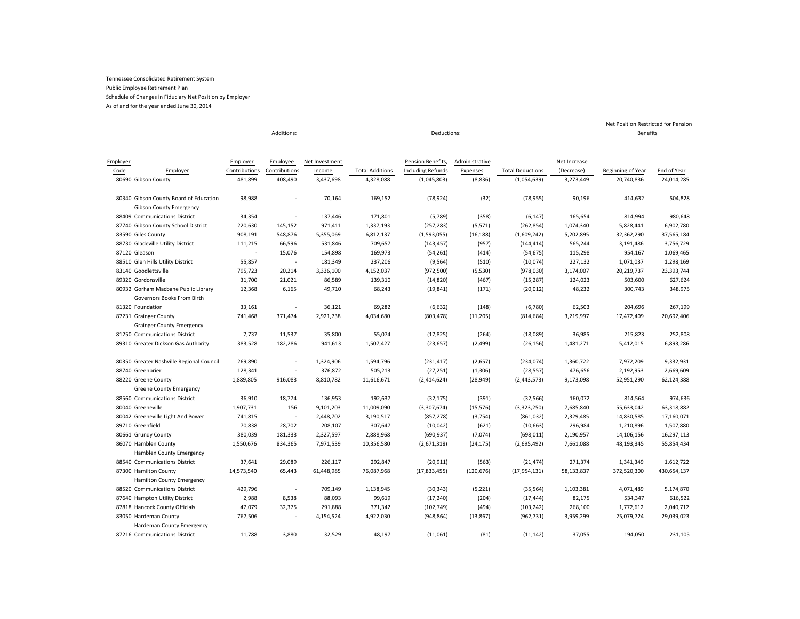As of and for the year ended June 30, 2014

|                                                                          |               | Additions:    |                |                        | Deductions:              |                |                         |              | Benefits          |             |
|--------------------------------------------------------------------------|---------------|---------------|----------------|------------------------|--------------------------|----------------|-------------------------|--------------|-------------------|-------------|
|                                                                          |               |               |                |                        |                          |                |                         |              |                   |             |
|                                                                          |               |               |                |                        |                          |                |                         |              |                   |             |
| Employer                                                                 | Employer      | Employee      | Net Investment |                        | Pension Benefits,        | Administrative |                         | Net Increase |                   |             |
| Code<br>Employer                                                         | Contributions | Contributions | Income         | <b>Total Additions</b> | <b>Including Refunds</b> | Expenses       | <b>Total Deductions</b> | (Decrease)   | Beginning of Year | End of Year |
| 80690 Gibson County                                                      | 481,899       | 408,490       | 3,437,698      | 4,328,088              | (1,045,803)              | (8,836)        | (1,054,639)             | 3,273,449    | 20,740,836        | 24,014,285  |
| 80340 Gibson County Board of Education<br><b>Gibson County Emergency</b> | 98,988        |               | 70,164         | 169,152                | (78, 924)                | (32)           | (78, 955)               | 90,196       | 414,632           | 504,828     |
| 88409 Communications District                                            | 34,354        |               | 137,446        | 171,801                | (5,789)                  | (358)          | (6, 147)                | 165,654      | 814,994           | 980,648     |
| 87740 Gibson County School District                                      | 220,630       | 145,152       | 971,411        | 1,337,193              | (257, 283)               | (5, 571)       | (262, 854)              | 1,074,340    | 5,828,441         | 6,902,780   |
| 83590 Giles County                                                       | 908,191       | 548,876       | 5,355,069      | 6,812,137              | (1,593,055)              | (16, 188)      | (1,609,242)             | 5,202,895    | 32,362,290        | 37,565,184  |
| 88730 Gladeville Utility District                                        | 111,215       | 66,596        | 531,846        | 709,657                | (143, 457)               | (957)          | (144, 414)              | 565,244      | 3,191,486         | 3,756,729   |
| 87120 Gleason                                                            |               | 15,076        | 154,898        | 169,973                | (54, 261)                | (414)          | (54, 675)               | 115,298      | 954,167           | 1,069,465   |
| 88510 Glen Hills Utility District                                        | 55,857        | $\sim$        | 181,349        | 237,206                | (9, 564)                 | (510)          | (10,074)                | 227,132      | 1,071,037         | 1,298,169   |
| 83140 Goodlettsville                                                     | 795,723       | 20,214        | 3,336,100      | 4,152,037              | (972, 500)               | (5,530)        | (978,030)               | 3,174,007    | 20,219,737        | 23,393,744  |
| 89320 Gordonsville                                                       | 31,700        | 21,021        | 86,589         | 139,310                | (14, 820)                | (467)          | (15, 287)               | 124,023      | 503,600           | 627,624     |
| 80932 Gorham Macbane Public Library                                      | 12,368        | 6,165         | 49,710         | 68,243                 | (19, 841)                | (171)          | (20, 012)               | 48,232       | 300,743           | 348,975     |
| Governors Books From Birth                                               |               |               |                |                        |                          |                |                         |              |                   |             |
| 81320 Foundation                                                         | 33,161        |               | 36,121         | 69,282                 | (6, 632)                 | (148)          | (6,780)                 | 62,503       | 204,696           | 267,199     |
| 87231 Grainger County                                                    | 741,468       | 371,474       | 2,921,738      | 4,034,680              | (803, 478)               | (11, 205)      | (814, 684)              | 3,219,997    | 17,472,409        | 20,692,406  |
| <b>Grainger County Emergency</b>                                         |               |               |                |                        |                          |                |                         |              |                   |             |
| 81250 Communications District                                            | 7,737         | 11,537        | 35,800         | 55,074                 | (17, 825)                | (264)          | (18,089)                | 36,985       | 215,823           | 252,808     |
| 89310 Greater Dickson Gas Authority                                      | 383,528       | 182,286       | 941,613        | 1,507,427              | (23, 657)                | (2,499)        | (26, 156)               | 1,481,271    | 5,412,015         | 6,893,286   |
|                                                                          |               |               |                |                        |                          |                |                         |              |                   |             |
| 80350 Greater Nashville Regional Council                                 | 269,890       |               | 1,324,906      | 1,594,796              | (231, 417)               | (2,657)        | (234, 074)              | 1,360,722    | 7,972,209         | 9,332,931   |
| 88740 Greenbrier                                                         | 128,341       |               | 376,872        | 505,213                | (27, 251)                | (1, 306)       | (28, 557)               | 476,656      | 2,192,953         | 2,669,609   |
| 88220 Greene County                                                      | 1,889,805     | 916,083       | 8,810,782      | 11,616,671             | (2,414,624)              | (28, 949)      | (2,443,573)             | 9,173,098    | 52,951,290        | 62,124,388  |
| <b>Greene County Emergency</b>                                           |               |               |                |                        |                          |                |                         |              |                   |             |
| 88560 Communications District                                            | 36,910        | 18,774        | 136,953        | 192,637                | (32, 175)                | (391)          | (32, 566)               | 160,072      | 814,564           | 974,636     |
| 80040 Greeneville                                                        | 1,907,731     | 156           | 9,101,203      | 11,009,090             | (3,307,674)              | (15, 576)      | (3,323,250)             | 7,685,840    | 55,633,042        | 63,318,882  |
| 80042 Greeneville Light And Power                                        | 741,815       |               | 2,448,702      | 3,190,517              | (857, 278)               | (3,754)        | (861,032)               | 2,329,485    | 14,830,585        | 17,160,071  |
| 89710 Greenfield                                                         | 70,838        | 28,702        | 208,107        | 307,647                | (10, 042)                | (621)          | (10, 663)               | 296,984      | 1,210,896         | 1,507,880   |
| 80661 Grundy County                                                      | 380,039       | 181,333       | 2,327,597      | 2,888,968              | (690, 937)               | (7,074)        | (698, 011)              | 2,190,957    | 14,106,156        | 16,297,113  |
| 86070 Hamblen County                                                     | 1,550,676     | 834,365       | 7,971,539      | 10,356,580             | (2,671,318)              | (24, 175)      | (2,695,492)             | 7,661,088    | 48,193,345        | 55,854,434  |
| Hamblen County Emergency                                                 |               |               |                |                        |                          |                |                         |              |                   |             |
| 88540 Communications District                                            | 37,641        | 29,089        | 226,117        | 292,847                | (20, 911)                | (563)          | (21, 474)               | 271,374      | 1,341,349         | 1,612,722   |
| 87300 Hamilton County                                                    | 14,573,540    | 65,443        | 61,448,985     | 76,087,968             | (17,833,455)             | (120, 676)     | (17, 954, 131)          | 58,133,837   | 372,520,300       | 430,654,137 |
| <b>Hamilton County Emergency</b>                                         |               |               |                |                        |                          |                |                         |              |                   |             |
| 88520 Communications District                                            | 429,796       |               | 709,149        | 1,138,945              | (30, 343)                | (5, 221)       | (35, 564)               | 1,103,381    | 4,071,489         | 5,174,870   |
| 87640 Hampton Utility District                                           | 2,988         | 8,538         | 88,093         | 99,619                 | (17, 240)                | (204)          | (17, 444)               | 82,175       | 534,347           | 616,522     |
| 87818 Hancock County Officials                                           | 47,079        | 32,375        | 291,888        | 371,342                | (102, 749)               | (494)          | (103, 242)              | 268,100      | 1,772,612         | 2,040,712   |
| 83050 Hardeman County                                                    | 767,506       |               | 4,154,524      | 4,922,030              | (948, 864)               | (13, 867)      | (962, 731)              | 3,959,299    | 25,079,724        | 29,039,023  |
| Hardeman County Emergency                                                |               |               |                |                        |                          |                |                         |              |                   |             |
| 87216 Communications District                                            | 11,788        | 3,880         | 32,529         | 48,197                 | (11,061)                 | (81)           | (11, 142)               | 37,055       | 194,050           | 231,105     |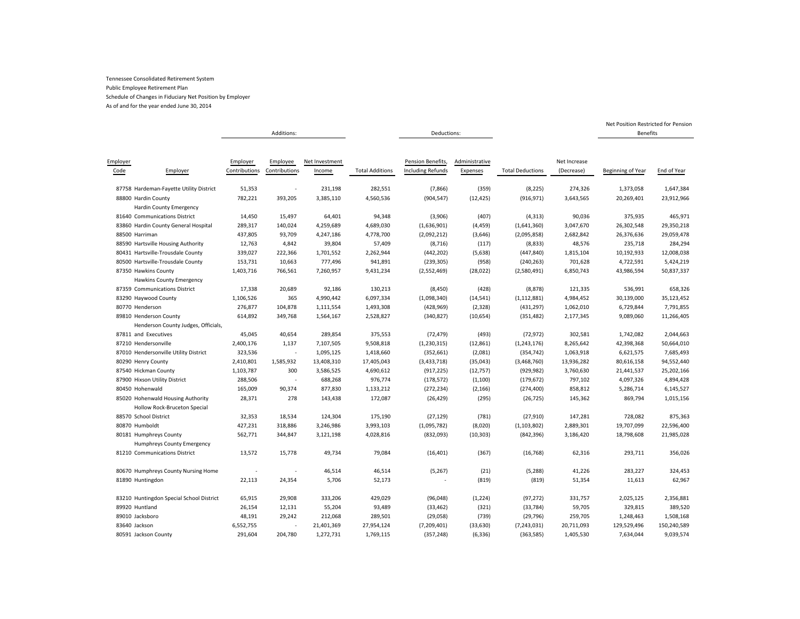As of and for the year ended June 30, 2014

|                                          |               | Additions:               |                |                        | Deductions:              |                |                         |              | <b>Benefits</b>   |             |
|------------------------------------------|---------------|--------------------------|----------------|------------------------|--------------------------|----------------|-------------------------|--------------|-------------------|-------------|
|                                          |               |                          |                |                        |                          |                |                         |              |                   |             |
|                                          |               |                          |                |                        |                          |                |                         |              |                   |             |
| Employer                                 | Employer      | Employee                 | Net Investment |                        | Pension Benefits,        | Administrative |                         | Net Increase |                   |             |
| Code<br>Employer                         | Contributions | Contributions            | Income         | <b>Total Additions</b> | <b>Including Refunds</b> | Expenses       | <b>Total Deductions</b> | (Decrease)   | Beginning of Year | End of Year |
| 87758 Hardeman-Fayette Utility District  | 51,353        | $\sim$                   | 231,198        | 282,551                | (7,866)                  | (359)          | (8, 225)                | 274,326      | 1,373,058         | 1,647,384   |
| 88800 Hardin County                      | 782,221       | 393,205                  | 3,385,110      | 4,560,536              | (904, 547)               | (12, 425)      | (916, 971)              | 3,643,565    | 20,269,401        | 23,912,966  |
| <b>Hardin County Emergency</b>           |               |                          |                |                        |                          |                |                         |              |                   |             |
| 81640 Communications District            | 14,450        | 15,497                   | 64,401         | 94,348                 | (3,906)                  | (407)          | (4, 313)                | 90,036       | 375,935           | 465,971     |
| 83860 Hardin County General Hospital     | 289,317       | 140,024                  | 4,259,689      | 4,689,030              | (1,636,901)              | (4, 459)       | (1,641,360)             | 3,047,670    | 26,302,548        | 29,350,218  |
| 88500 Harriman                           | 437,805       | 93,709                   | 4,247,186      | 4,778,700              | (2,092,212)              | (3,646)        | (2,095,858)             | 2,682,842    | 26,376,636        | 29,059,478  |
| 88590 Hartsville Housing Authority       | 12,763        | 4,842                    | 39,804         | 57,409                 | (8, 716)                 | (117)          | (8, 833)                | 48,576       | 235,718           | 284,294     |
| 80431 Hartsville-Trousdale County        | 339,027       | 222,366                  | 1,701,552      | 2,262,944              | (442, 202)               | (5,638)        | (447, 840)              | 1,815,104    | 10,192,933        | 12,008,038  |
| 80500 Hartsville-Trousdale County        | 153,731       | 10,663                   | 777,496        | 941,891                | (239, 305)               | (958)          | (240, 263)              | 701,628      | 4,722,591         | 5,424,219   |
| 87350 Hawkins County                     | 1,403,716     | 766,561                  | 7,260,957      | 9,431,234              | (2,552,469)              | (28, 022)      | (2,580,491)             | 6,850,743    | 43,986,594        | 50,837,337  |
| <b>Hawkins County Emergency</b>          |               |                          |                |                        |                          |                |                         |              |                   |             |
| 87359 Communications District            | 17,338        | 20,689                   | 92,186         | 130,213                | (8, 450)                 | (428)          | (8, 878)                | 121,335      | 536,991           | 658,326     |
| 83290 Haywood County                     | 1,106,526     | 365                      | 4,990,442      | 6,097,334              | (1,098,340)              | (14, 541)      | (1, 112, 881)           | 4,984,452    | 30,139,000        | 35,123,452  |
| 80770 Henderson                          | 276,877       | 104,878                  | 1,111,554      | 1,493,308              | (428, 969)               | (2,328)        | (431, 297)              | 1,062,010    | 6,729,844         | 7,791,855   |
| 89810 Henderson County                   | 614,892       | 349,768                  | 1,564,167      | 2,528,827              | (340, 827)               | (10, 654)      | (351, 482)              | 2,177,345    | 9,089,060         | 11,266,405  |
| Henderson County Judges, Officials,      |               |                          |                |                        |                          |                |                         |              |                   |             |
| 87811 and Executives                     | 45,045        | 40,654                   | 289,854        | 375,553                | (72, 479)                | (493)          | (72, 972)               | 302,581      | 1,742,082         | 2,044,663   |
| 87210 Hendersonville                     | 2,400,176     | 1,137                    | 7,107,505      | 9,508,818              | (1, 230, 315)            | (12, 861)      | (1, 243, 176)           | 8,265,642    | 42,398,368        | 50,664,010  |
| 87010 Hendersonville Utility District    | 323,536       |                          | 1,095,125      | 1,418,660              | (352, 661)               | (2,081)        | (354, 742)              | 1,063,918    | 6,621,575         | 7,685,493   |
| 80290 Henry County                       | 2,410,801     | 1,585,932                | 13,408,310     | 17,405,043             | (3, 433, 718)            | (35, 043)      | (3,468,760)             | 13,936,282   | 80,616,158        | 94,552,440  |
| 87540 Hickman County                     | 1,103,787     | 300                      | 3,586,525      | 4,690,612              | (917, 225)               | (12, 757)      | (929, 982)              | 3,760,630    | 21,441,537        | 25,202,166  |
| 87900 Hixson Utility District            | 288,506       | $\overline{\phantom{a}}$ | 688,268        | 976,774                | (178, 572)               | (1, 100)       | (179, 672)              | 797,102      | 4,097,326         | 4,894,428   |
| 80450 Hohenwald                          | 165,009       | 90,374                   | 877,830        | 1,133,212              | (272, 234)               | (2, 166)       | (274, 400)              | 858,812      | 5,286,714         | 6,145,527   |
| 85020 Hohenwald Housing Authority        | 28,371        | 278                      | 143,438        | 172,087                | (26, 429)                | (295)          | (26, 725)               | 145,362      | 869,794           | 1,015,156   |
| Hollow Rock-Bruceton Special             |               |                          |                |                        |                          |                |                         |              |                   |             |
| 88570 School District                    | 32,353        | 18,534                   | 124,304        | 175,190                | (27, 129)                | (781)          | (27, 910)               | 147,281      | 728,082           | 875,363     |
| 80870 Humboldt                           | 427,231       | 318,886                  | 3,246,986      | 3,993,103              | (1,095,782)              | (8,020)        | (1, 103, 802)           | 2,889,301    | 19,707,099        | 22,596,400  |
| 80181 Humphreys County                   | 562,771       | 344,847                  | 3,121,198      | 4,028,816              | (832,093)                | (10, 303)      | (842, 396)              | 3,186,420    | 18,798,608        | 21,985,028  |
| Humphreys County Emergency               |               |                          |                |                        |                          |                |                         |              |                   |             |
| 81210 Communications District            | 13,572        | 15,778                   | 49,734         | 79,084                 | (16, 401)                | (367)          | (16, 768)               | 62,316       | 293,711           | 356,026     |
| 80670 Humphreys County Nursing Home      |               |                          | 46,514         | 46,514                 | (5, 267)                 | (21)           | (5, 288)                | 41,226       | 283,227           | 324,453     |
| 81890 Huntingdon                         | 22,113        | 24,354                   | 5,706          | 52,173                 |                          | (819)          | (819)                   | 51,354       | 11,613            | 62,967      |
| 83210 Huntingdon Special School District | 65,915        | 29,908                   | 333,206        | 429,029                | (96,048)                 | (1, 224)       | (97, 272)               | 331,757      | 2,025,125         | 2,356,881   |
| 89920 Huntland                           | 26,154        | 12,131                   | 55,204         | 93,489                 | (33, 462)                | (321)          | (33, 784)               | 59,705       | 329,815           | 389,520     |
| 89010 Jacksboro                          | 48,191        | 29,242                   | 212,068        | 289,501                | (29,058)                 | (739)          | (29, 796)               | 259,705      | 1,248,463         | 1,508,168   |
| 83640 Jackson                            | 6,552,755     |                          | 21,401,369     | 27,954,124             | (7,209,401)              | (33, 630)      | (7, 243, 031)           | 20,711,093   | 129,529,496       | 150,240,589 |
| 80591 Jackson County                     | 291,604       | 204,780                  | 1,272,731      | 1,769,115              | (357, 248)               | (6, 336)       | (363, 585)              | 1,405,530    | 7,634,044         | 9,039,574   |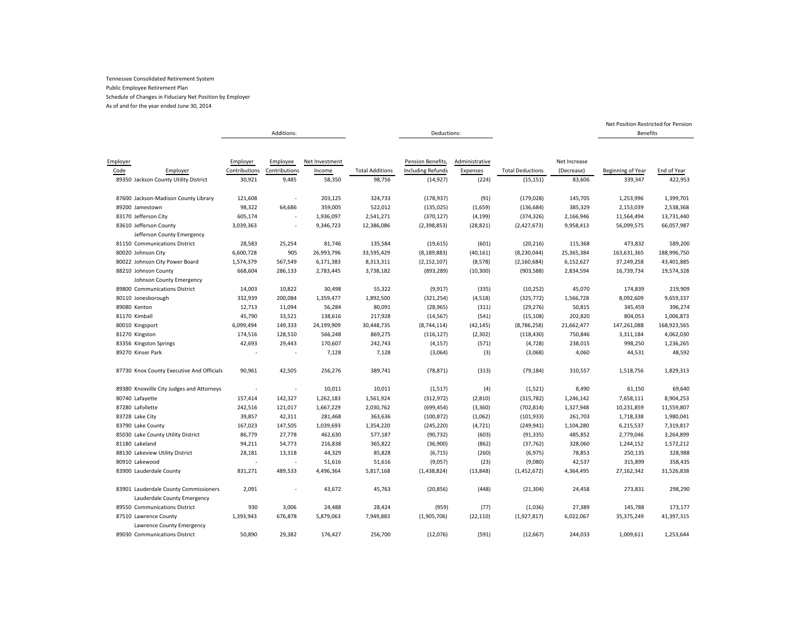As of and for the year ended June 30, 2014

|                                           |               | Additions:    |                |                        | Deductions:              |                |                         |              | <b>Benefits</b>   |             |
|-------------------------------------------|---------------|---------------|----------------|------------------------|--------------------------|----------------|-------------------------|--------------|-------------------|-------------|
|                                           |               |               |                |                        |                          |                |                         |              |                   |             |
|                                           |               |               |                |                        |                          |                |                         |              |                   |             |
| Employer                                  | Employer      | Employee      | Net Investment |                        | Pension Benefits,        | Administrative |                         | Net Increase |                   |             |
| Code<br>Employer                          | Contributions | Contributions | Income         | <b>Total Additions</b> | <b>Including Refunds</b> | Expenses       | <b>Total Deductions</b> | (Decrease)   | Beginning of Year | End of Year |
| 89350 Jackson County Utility District     | 30,921        | 9,485         | 58,350         | 98,756                 | (14, 927)                | (224)          | (15, 151)               | 83,606       | 339,347           | 422,953     |
| 87600 Jackson-Madison County Library      | 121,608       |               | 203,125        | 324,733                | (178, 937)               | (91)           | (179, 028)              | 145,705      | 1,253,996         | 1,399,701   |
| 89200 Jamestown                           | 98,322        | 64,686        | 359,005        | 522,012                | (135, 025)               | (1,659)        | (136, 684)              | 385,329      | 2,153,039         | 2,538,368   |
| 83170 Jefferson City                      | 605,174       |               | 1,936,097      | 2,541,271              | (370, 127)               | (4, 199)       | (374, 326)              | 2,166,946    | 11,564,494        | 13,731,440  |
| 83610 Jefferson County                    | 3,039,363     |               | 9,346,723      | 12,386,086             | (2,398,853)              | (28, 821)      | (2,427,673)             | 9,958,413    | 56,099,575        | 66,057,987  |
| Jefferson County Emergency                |               |               |                |                        |                          |                |                         |              |                   |             |
| 81150 Communications District             | 28,583        | 25,254        | 81,746         | 135,584                | (19, 615)                | (601)          | (20, 216)               | 115,368      | 473,832           | 589,200     |
| 80020 Johnson City                        | 6,600,728     | 905           | 26,993,796     | 33,595,429             | (8, 189, 883)            | (40, 161)      | (8, 230, 044)           | 25,365,384   | 163,631,365       | 188,996,750 |
| 80022 Johnson City Power Board            | 1,574,379     | 567,549       | 6,171,383      | 8,313,311              | (2, 152, 107)            | (8, 578)       | (2, 160, 684)           | 6,152,627    | 37,249,258        | 43,401,885  |
| 88210 Johnson County                      | 668,604       | 286,133       | 2,783,445      | 3,738,182              | (893, 289)               | (10, 300)      | (903, 588)              | 2,834,594    | 16,739,734        | 19,574,328  |
| Johnson County Emergency                  |               |               |                |                        |                          |                |                         |              |                   |             |
| 89800 Communications District             | 14,003        | 10,822        | 30,498         | 55,322                 | (9, 917)                 | (335)          | (10, 252)               | 45,070       | 174,839           | 219,909     |
| 80110 Jonesborough                        | 332,939       | 200,084       | 1,359,477      | 1,892,500              | (321, 254)               | (4, 518)       | (325, 772)              | 1,566,728    | 8,092,609         | 9,659,337   |
| 89080 Kenton                              | 12,713        | 11,094        | 56,284         | 80,091                 | (28, 965)                | (311)          | (29, 276)               | 50,815       | 345,459           | 396,274     |
| 81170 Kimball                             | 45,790        | 33,521        | 138,616        | 217,928                | (14, 567)                | (541)          | (15, 108)               | 202,820      | 804,053           | 1,006,873   |
| 80010 Kingsport                           | 6,099,494     | 149,333       | 24,199,909     | 30,448,735             | (8,744,114)              | (42, 145)      | (8,786,258)             | 21,662,477   | 147,261,088       | 168,923,565 |
| 81270 Kingston                            | 174,516       | 128,510       | 566,248        | 869,275                | (116, 127)               | (2,302)        | (118, 430)              | 750,846      | 3,311,184         | 4,062,030   |
| 83356 Kingston Springs                    | 42,693        | 29,443        | 170,607        | 242,743                | (4, 157)                 | (571)          | (4, 728)                | 238,015      | 998,250           | 1,236,265   |
| 89270 Kinser Park                         |               |               | 7,128          | 7,128                  | (3,064)                  | (3)            | (3,068)                 | 4,060        | 44,531            | 48,592      |
|                                           |               |               |                |                        |                          |                |                         |              |                   |             |
| 87730 Knox County Executive And Officials | 90,961        | 42,505        | 256,276        | 389,741                | (78, 871)                | (313)          | (79, 184)               | 310,557      | 1,518,756         | 1,829,313   |
| 89380 Knoxville City Judges and Attorneys |               |               | 10,011         | 10,011                 | (1, 517)                 | (4)            | (1,521)                 | 8,490        | 61,150            | 69,640      |
| 80740 Lafayette                           | 157,414       | 142,327       | 1,262,183      | 1,561,924              | (312, 972)               | (2,810)        | (315, 782)              | 1,246,142    | 7,658,111         | 8,904,253   |
| 87280 Lafollette                          | 242,516       | 121,017       | 1,667,229      | 2,030,762              | (699, 454)               | (3, 360)       | (702, 814)              | 1,327,948    | 10,231,859        | 11,559,807  |
| 83728 Lake City                           | 39,857        | 42,311        | 281,468        | 363,636                | (100, 872)               | (1,062)        | (101, 933)              | 261,703      | 1,718,338         | 1,980,041   |
| 83790 Lake County                         | 167,023       | 147,505       | 1,039,693      | 1,354,220              | (245, 220)               | (4, 721)       | (249, 941)              | 1,104,280    | 6,215,537         | 7,319,817   |
| 85030 Lake County Utility District        | 86,779        | 27,778        | 462,630        | 577,187                | (90, 732)                | (603)          | (91, 335)               | 485,852      | 2,779,046         | 3,264,899   |
| 81180 Lakeland                            | 94,211        | 54,773        | 216,838        | 365,822                | (36,900)                 | (862)          | (37, 762)               | 328,060      | 1,244,152         | 1,572,212   |
| 88130 Lakeview Utility District           | 28,181        | 13,318        | 44,329         | 85,828                 | (6, 715)                 | (260)          | (6, 975)                | 78,853       | 250,135           | 328,988     |
| 80910 Lakewood                            |               |               | 51,616         | 51,616                 | (9,057)                  | (23)           | (9,080)                 | 42,537       | 315,899           | 358,435     |
| 83900 Lauderdale County                   | 831,271       | 489,533       | 4,496,364      | 5,817,168              | (1,438,824)              | (13, 848)      | (1,452,672)             | 4,364,495    | 27,162,342        | 31,526,838  |
| 83901 Lauderdale County Commissioners     | 2,091         |               | 43,672         | 45,763                 | (20, 856)                | (448)          | (21, 304)               | 24,458       | 273,831           | 298,290     |
| Lauderdale County Emergency               |               |               |                |                        |                          |                |                         |              |                   |             |
| 89550 Communications District             | 930           | 3,006         | 24,488         | 28,424                 | (959)                    | (77)           | (1,036)                 | 27,389       | 145,788           | 173,177     |
| 87510 Lawrence County                     | 1,393,943     | 676,878       | 5,879,063      | 7,949,883              | (1,905,706)              | (22, 110)      | (1,927,817)             | 6,022,067    | 35,375,249        | 41,397,315  |
| Lawrence County Emergency                 |               |               |                |                        |                          |                |                         |              |                   |             |
| 89030 Communications District             | 50,890        | 29,382        | 176,427        | 256,700                | (12,076)                 | (591)          | (12, 667)               | 244,033      | 1,009,611         | 1,253,644   |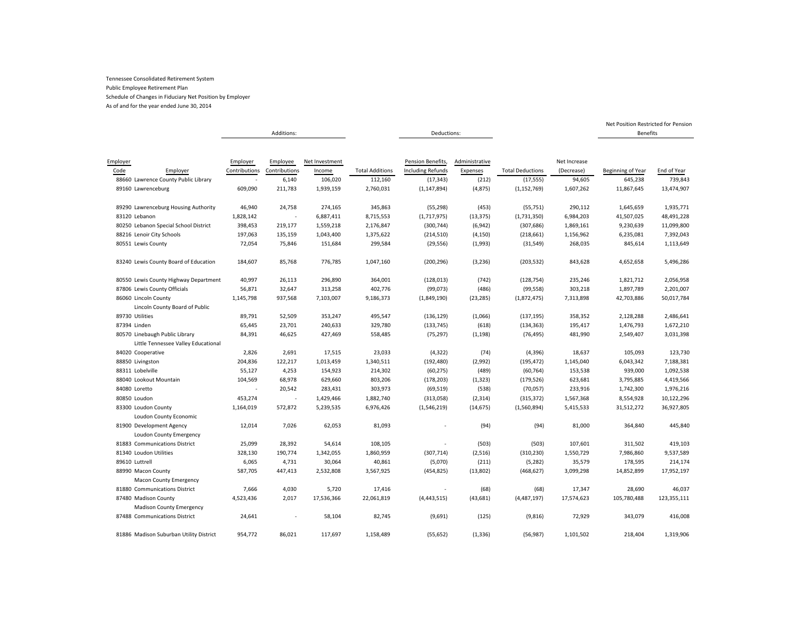As of and for the year ended June 30, 2014

|                                                     |               | Additions:    |                |                        | Deductions:       |                |                         |              | <b>Benefits</b>   |             |
|-----------------------------------------------------|---------------|---------------|----------------|------------------------|-------------------|----------------|-------------------------|--------------|-------------------|-------------|
|                                                     |               |               |                |                        |                   |                |                         |              |                   |             |
| Employer                                            | Employer      | Employee      | Net Investment |                        | Pension Benefits, | Administrative |                         | Net Increase |                   |             |
| Code<br>Employer                                    | Contributions | Contributions | Income         | <b>Total Additions</b> | Including Refunds | Expenses       | <b>Total Deductions</b> | (Decrease)   | Beginning of Year | End of Year |
| 88660 Lawrence County Public Library                |               | 6,140         | 106,020        | 112,160                | (17, 343)         | (212)          | (17, 555)               | 94,605       | 645,238           | 739,843     |
| 89160 Lawrenceburg                                  | 609,090       | 211,783       | 1,939,159      | 2,760,031              | (1, 147, 894)     | (4, 875)       | (1, 152, 769)           | 1,607,262    | 11,867,645        | 13,474,907  |
| 89290 Lawrenceburg Housing Authority                | 46,940        | 24,758        | 274,165        | 345,863                | (55, 298)         | (453)          | (55, 751)               | 290,112      | 1,645,659         | 1,935,771   |
| 83120 Lebanon                                       | 1,828,142     |               | 6,887,411      | 8,715,553              | (1,717,975)       | (13, 375)      | (1,731,350)             | 6,984,203    | 41,507,025        | 48,491,228  |
| 80250 Lebanon Special School District               | 398,453       | 219,177       | 1,559,218      | 2,176,847              | (300, 744)        | (6, 942)       | (307, 686)              | 1,869,161    | 9,230,639         | 11,099,800  |
| 88216 Lenoir City Schools                           | 197,063       | 135,159       | 1,043,400      | 1,375,622              | (214, 510)        | (4, 150)       | (218, 661)              | 1,156,962    | 6,235,081         | 7,392,043   |
| 80551 Lewis County                                  | 72,054        | 75,846        | 151,684        | 299,584                | (29, 556)         | (1,993)        | (31, 549)               | 268,035      | 845,614           | 1,113,649   |
| 83240 Lewis County Board of Education               | 184,607       | 85,768        | 776,785        | 1,047,160              | (200, 296)        | (3, 236)       | (203, 532)              | 843,628      | 4,652,658         | 5,496,286   |
| 80550 Lewis County Highway Department               | 40,997        | 26,113        | 296,890        | 364,001                | (128, 013)        | (742)          | (128, 754)              | 235,246      | 1,821,712         | 2,056,958   |
| 87806 Lewis County Officials                        | 56,871        | 32,647        | 313,258        | 402,776                | (99, 073)         | (486)          | (99, 558)               | 303,218      | 1,897,789         | 2,201,007   |
| 86060 Lincoln County                                | 1,145,798     | 937,568       | 7,103,007      | 9,186,373              | (1,849,190)       | (23, 285)      | (1,872,475)             | 7,313,898    | 42,703,886        | 50,017,784  |
| Lincoln County Board of Public                      |               |               |                |                        |                   |                |                         |              |                   |             |
| 89730 Utilities                                     | 89,791        | 52,509        | 353,247        | 495,547                | (136, 129)        | (1,066)        | (137, 195)              | 358,352      | 2,128,288         | 2,486,641   |
| 87394 Linden                                        | 65,445        | 23,701        | 240,633        | 329,780                | (133, 745)        | (618)          | (134, 363)              | 195,417      | 1,476,793         | 1,672,210   |
| 80570 Linebaugh Public Library                      | 84,391        | 46,625        | 427,469        | 558,485                | (75, 297)         | (1, 198)       | (76, 495)               | 481,990      | 2,549,407         | 3,031,398   |
| Little Tennessee Valley Educational                 |               |               |                |                        |                   |                |                         |              |                   |             |
| 84020 Cooperative                                   | 2,826         | 2,691         | 17,515         | 23,033                 | (4, 322)          | (74)           | (4,396)                 | 18,637       | 105,093           | 123,730     |
| 88850 Livingston                                    | 204,836       | 122,217       | 1,013,459      | 1,340,511              | (192, 480)        | (2,992)        | (195, 472)              | 1,145,040    | 6,043,342         | 7,188,381   |
| 88311 Lobelville                                    | 55,127        | 4,253         | 154,923        | 214,302                | (60, 275)         | (489)          | (60, 764)               | 153,538      | 939,000           | 1,092,538   |
| 88040 Lookout Mountain                              | 104,569       | 68,978        | 629,660        | 803,206                | (178, 203)        | (1, 323)       | (179, 526)              | 623,681      | 3,795,885         | 4,419,566   |
| 84080 Loretto                                       |               | 20,542        | 283,431        | 303,973                | (69, 519)         | (538)          | (70,057)                | 233,916      | 1,742,300         | 1,976,216   |
| 80850 Loudon                                        | 453,274       | ÷.            | 1,429,466      | 1,882,740              | (313,058)         | (2, 314)       | (315, 372)              | 1,567,368    | 8,554,928         | 10,122,296  |
| 83300 Loudon County                                 | 1,164,019     | 572,872       | 5,239,535      | 6,976,426              | (1,546,219)       | (14, 675)      | (1,560,894)             | 5,415,533    | 31,512,272        | 36,927,805  |
| Loudon County Economic                              |               |               |                |                        |                   |                |                         |              |                   |             |
| 81900 Development Agency                            | 12,014        | 7,026         | 62,053         | 81,093                 |                   | (94)           | (94)                    | 81,000       | 364,840           | 445,840     |
| Loudon County Emergency                             |               |               |                |                        |                   |                |                         |              |                   |             |
| 81883 Communications District                       | 25,099        | 28,392        | 54,614         | 108,105                |                   | (503)          | (503)                   | 107,601      | 311,502           | 419,103     |
| 81340 Loudon Utilities                              | 328,130       | 190,774       | 1,342,055      | 1,860,959              | (307, 714)        | (2, 516)       | (310, 230)              | 1,550,729    | 7,986,860         | 9,537,589   |
| 89610 Luttrell                                      | 6,065         | 4,731         | 30,064         | 40,861                 | (5,070)           | (211)          | (5, 282)                | 35,579       | 178,595           | 214,174     |
| 88990 Macon County<br><b>Macon County Emergency</b> | 587,705       | 447,413       | 2,532,808      | 3,567,925              | (454, 825)        | (13,802)       | (468, 627)              | 3,099,298    | 14,852,899        | 17,952,197  |
| 81880 Communications District                       | 7,666         | 4,030         | 5,720          | 17,416                 |                   | (68)           | (68)                    | 17,347       | 28,690            | 46,037      |
| 87480 Madison County                                | 4,523,436     | 2,017         | 17,536,366     | 22,061,819             | (4, 443, 515)     | (43, 681)      | (4,487,197)             | 17,574,623   | 105,780,488       | 123,355,111 |
| <b>Madison County Emergency</b>                     |               |               |                |                        |                   |                |                         |              |                   |             |
| 87488 Communications District                       | 24,641        |               | 58,104         | 82,745                 | (9,691)           | (125)          | (9, 816)                | 72,929       | 343,079           | 416,008     |
| 81886 Madison Suburban Utility District             | 954,772       | 86,021        | 117,697        | 1,158,489              | (55, 652)         | (1, 336)       | (56, 987)               | 1,101,502    | 218,404           | 1,319,906   |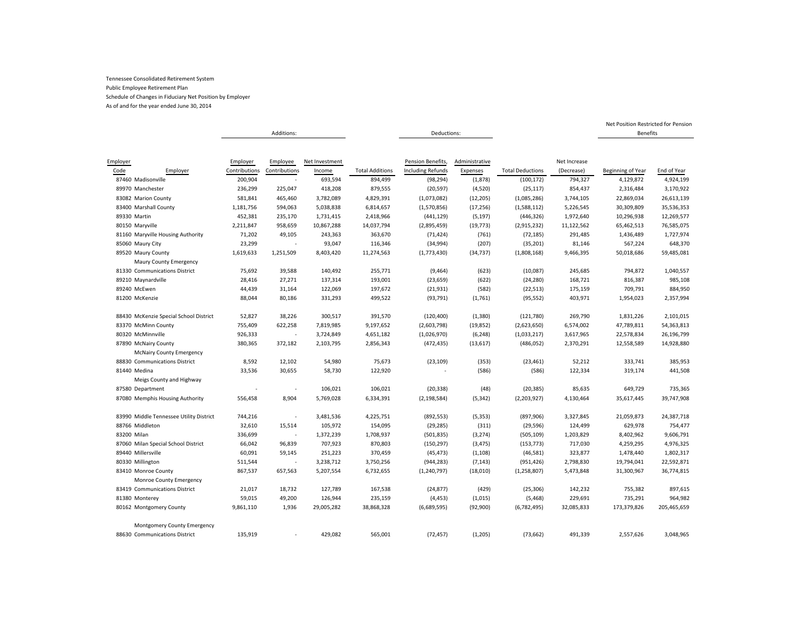As of and for the year ended June 30, 2014

|                                                |               | Additions:               |                |                        | Deductions:              |                |                         |              | Benefits          |             |
|------------------------------------------------|---------------|--------------------------|----------------|------------------------|--------------------------|----------------|-------------------------|--------------|-------------------|-------------|
|                                                |               |                          |                |                        |                          |                |                         |              |                   |             |
|                                                |               |                          |                |                        |                          |                |                         |              |                   |             |
| Employer                                       | Employer      | Employee                 | Net Investment |                        | Pension Benefits,        | Administrative |                         | Net Increase |                   |             |
| Code<br>Employer                               | Contributions | Contributions            | Income         | <b>Total Additions</b> | <b>Including Refunds</b> | Expenses       | <b>Total Deductions</b> | (Decrease)   | Beginning of Year | End of Year |
| 87460 Madisonville                             | 200,904       | ×                        | 693,594        | 894,499                | (98, 294)                | (1, 878)       | (100, 172)              | 794,327      | 4,129,872         | 4,924,199   |
| 89970 Manchester                               | 236,299       | 225,047                  | 418,208        | 879,555                | (20, 597)                | (4,520)        | (25, 117)               | 854,437      | 2,316,484         | 3,170,922   |
| 83082 Marion County                            | 581,841       | 465,460                  | 3,782,089      | 4,829,391              | (1,073,082)              | (12, 205)      | (1,085,286)             | 3,744,105    | 22,869,034        | 26,613,139  |
| 83400 Marshall County                          | 1,181,756     | 594,063                  | 5,038,838      | 6,814,657              | (1,570,856)              | (17, 256)      | (1,588,112)             | 5,226,545    | 30,309,809        | 35,536,353  |
| 89330 Martin                                   | 452,381       | 235,170                  | 1,731,415      | 2,418,966              | (441, 129)               | (5, 197)       | (446, 326)              | 1,972,640    | 10,296,938        | 12,269,577  |
| 80150 Maryville                                | 2,211,847     | 958,659                  | 10,867,288     | 14,037,794             | (2,895,459)              | (19, 773)      | (2,915,232)             | 11,122,562   | 65,462,513        | 76,585,075  |
| 81160 Maryville Housing Authority              | 71,202        | 49,105                   | 243,363        | 363,670                | (71, 424)                | (761)          | (72, 185)               | 291,485      | 1,436,489         | 1,727,974   |
| 85060 Maury City                               | 23,299        |                          | 93,047         | 116,346                | (34,994)                 | (207)          | (35, 201)               | 81,146       | 567,224           | 648,370     |
| 89520 Maury County                             | 1,619,633     | 1,251,509                | 8,403,420      | 11,274,563             | (1,773,430)              | (34, 737)      | (1,808,168)             | 9,466,395    | 50,018,686        | 59,485,081  |
| Maury County Emergency                         |               |                          |                |                        |                          |                |                         |              |                   |             |
| 81330 Communications District                  | 75,692        | 39,588                   | 140,492        | 255,771                | (9,464)                  | (623)          | (10,087)                | 245,685      | 794,872           | 1,040,557   |
| 89210 Maynardville                             | 28,416        | 27,271                   | 137,314        | 193,001                | (23, 659)                | (622)          | (24, 280)               | 168,721      | 816,387           | 985,108     |
| 89240 McEwen                                   | 44,439        | 31,164                   | 122,069        | 197,672                | (21, 931)                | (582)          | (22, 513)               | 175,159      | 709,791           | 884,950     |
| 81200 McKenzie                                 | 88,044        | 80,186                   | 331,293        | 499,522                | (93, 791)                | (1,761)        | (95, 552)               | 403,971      | 1,954,023         | 2,357,994   |
| 88430 McKenzie Special School District         | 52,827        | 38,226                   | 300,517        | 391,570                | (120, 400)               | (1, 380)       | (121, 780)              | 269,790      | 1,831,226         | 2,101,015   |
| 83370 McMinn County                            | 755,409       | 622,258                  | 7,819,985      | 9,197,652              | (2,603,798)              | (19, 852)      | (2,623,650)             | 6,574,002    | 47,789,811        | 54,363,813  |
| 80320 McMinnville                              | 926,333       |                          | 3,724,849      | 4,651,182              | (1,026,970)              | (6, 248)       | (1,033,217)             | 3,617,965    | 22,578,834        | 26,196,799  |
| 87890 McNairy County                           | 380,365       | 372,182                  | 2,103,795      | 2,856,343              | (472, 435)               | (13, 617)      | (486, 052)              | 2,370,291    | 12,558,589        | 14,928,880  |
| <b>McNairy County Emergency</b>                |               |                          |                |                        |                          |                |                         |              |                   |             |
| 88830 Communications District                  | 8,592         | 12,102                   | 54,980         | 75,673                 | (23, 109)                | (353)          | (23, 461)               | 52,212       | 333,741           | 385,953     |
| 81440 Medina                                   | 33,536        | 30,655                   | 58,730         | 122,920                |                          | (586)          | (586)                   | 122,334      | 319,174           | 441,508     |
| Meigs County and Highway                       |               |                          |                |                        |                          |                |                         |              |                   |             |
| 87580 Department                               |               |                          | 106,021        | 106,021                | (20, 338)                | (48)           | (20, 385)               | 85,635       | 649,729           | 735,365     |
| 87080 Memphis Housing Authority                | 556,458       | 8,904                    | 5,769,028      | 6,334,391              | (2, 198, 584)            | (5, 342)       | (2,203,927)             | 4,130,464    | 35,617,445        | 39,747,908  |
| 83990 Middle Tennessee Utility District        |               |                          | 3,481,536      | 4,225,751              |                          | (5, 353)       |                         |              | 21,059,873        | 24,387,718  |
| 88766 Middleton                                | 744,216       |                          |                |                        | (892, 553)               |                | (897, 906)              | 3,327,845    |                   |             |
|                                                | 32,610        | 15,514<br>$\overline{a}$ | 105,972        | 154,095                | (29, 285)                | (311)          | (29, 596)               | 124,499      | 629,978           | 754,477     |
| 83200 Milan                                    | 336,699       |                          | 1,372,239      | 1,708,937              | (501, 835)               | (3, 274)       | (505, 109)              | 1,203,829    | 8,402,962         | 9,606,791   |
| 87060 Milan Special School District            | 66,042        | 96,839                   | 707,923        | 870,803                | (150, 297)               | (3, 475)       | (153, 773)              | 717,030      | 4,259,295         | 4,976,325   |
| 89440 Millersville                             | 60,091        | 59,145                   | 251,223        | 370,459                | (45, 473)                | (1, 108)       | (46, 581)               | 323,877      | 1,478,440         | 1,802,317   |
| 80330 Millington                               | 511,544       |                          | 3,238,712      | 3,750,256              | (944, 283)               | (7, 143)       | (951, 426)              | 2,798,830    | 19,794,041        | 22,592,871  |
| 83410 Monroe County<br>Monroe County Emergency | 867,537       | 657,563                  | 5,207,554      | 6,732,655              | (1, 240, 797)            | (18,010)       | (1, 258, 807)           | 5,473,848    | 31,300,967        | 36,774,815  |
|                                                |               |                          |                |                        |                          |                |                         |              |                   |             |
| 83419 Communications District                  | 21,017        | 18,732                   | 127,789        | 167,538                | (24, 877)                | (429)          | (25, 306)               | 142,232      | 755,382           | 897,615     |
| 81380 Monterey                                 | 59,015        | 49,200                   | 126,944        | 235,159                | (4, 453)                 | (1,015)        | (5,468)                 | 229,691      | 735,291           | 964,982     |
| 80162 Montgomery County                        | 9,861,110     | 1,936                    | 29,005,282     | 38,868,328             | (6,689,595)              | (92,900)       | (6,782,495)             | 32,085,833   | 173,379,826       | 205,465,659 |
| <b>Montgomery County Emergency</b>             |               |                          |                |                        |                          |                |                         |              |                   |             |
| 88630 Communications District                  | 135,919       |                          | 429,082        | 565,001                | (72, 457)                | (1, 205)       | (73, 662)               | 491,339      | 2,557,626         | 3,048,965   |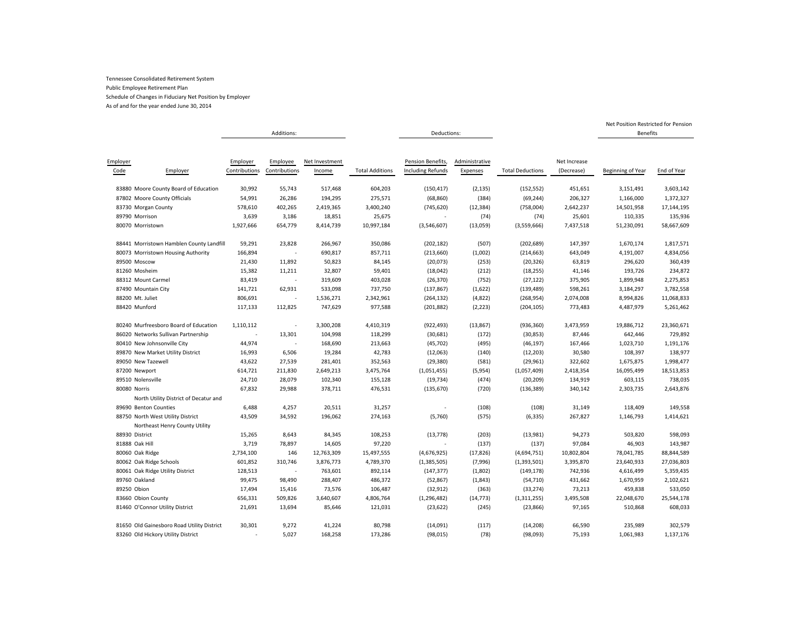As of and for the year ended June 30, 2014

|                                            |               | Additions:               |                |                        | Deductions:              |                |                         |              | <b>Benefits</b>   |             |
|--------------------------------------------|---------------|--------------------------|----------------|------------------------|--------------------------|----------------|-------------------------|--------------|-------------------|-------------|
|                                            |               |                          |                |                        |                          |                |                         |              |                   |             |
|                                            |               |                          |                |                        |                          |                |                         |              |                   |             |
| Employer                                   | Employer      | Employee                 | Net Investment |                        | Pension Benefits,        | Administrative |                         | Net Increase |                   |             |
| Code<br>Employer                           | Contributions | Contributions            | Income         | <b>Total Additions</b> | <b>Including Refunds</b> | Expenses       | <b>Total Deductions</b> | (Decrease)   | Beginning of Year | End of Year |
| 83880 Moore County Board of Education      | 30,992        | 55,743                   | 517,468        | 604,203                | (150, 417)               | (2, 135)       | (152, 552)              | 451,651      | 3,151,491         | 3,603,142   |
| 87802 Moore County Officials               | 54,991        | 26,286                   | 194,295        | 275,571                | (68, 860)                | (384)          | (69, 244)               | 206,327      | 1,166,000         | 1,372,327   |
| 83730 Morgan County                        | 578,610       | 402,265                  | 2,419,365      | 3,400,240              | (745, 620)               | (12, 384)      | (758,004)               | 2,642,237    | 14,501,958        | 17,144,195  |
| 89790 Morrison                             | 3,639         | 3,186                    | 18,851         | 25,675                 |                          | (74)           | (74)                    | 25,601       | 110,335           | 135,936     |
| 80070 Morristown                           | 1,927,666     | 654,779                  | 8,414,739      | 10,997,184             | (3,546,607)              | (13,059)       | (3,559,666)             | 7,437,518    | 51,230,091        | 58,667,609  |
| 88441 Morristown Hamblen County Landfill   | 59,291        | 23,828                   | 266,967        | 350,086                | (202, 182)               | (507)          | (202, 689)              | 147,397      | 1,670,174         | 1,817,571   |
| 80073 Morristown Housing Authority         | 166,894       |                          | 690,817        | 857,711                | (213, 660)               | (1,002)        | (214, 663)              | 643,049      | 4,191,007         | 4,834,056   |
| 89500 Moscow                               | 21,430        | 11,892                   | 50,823         | 84,145                 | (20, 073)                | (253)          | (20, 326)               | 63,819       | 296,620           | 360,439     |
| 81260 Mosheim                              | 15,382        | 11,211                   | 32,807         | 59,401                 | (18,042)                 | (212)          | (18, 255)               | 41,146       | 193,726           | 234,872     |
| 88312 Mount Carmel                         | 83,419        |                          | 319,609        | 403,028                | (26, 370)                | (752)          | (27, 122)               | 375,905      | 1,899,948         | 2,275,853   |
| 87490 Mountain City                        | 141,721       | 62,931                   | 533,098        | 737,750                | (137, 867)               | (1,622)        | (139, 489)              | 598,261      | 3,184,297         | 3,782,558   |
| 88200 Mt. Juliet                           | 806,691       |                          | 1,536,271      | 2,342,961              | (264, 132)               | (4,822)        | (268, 954)              | 2,074,008    | 8,994,826         | 11,068,833  |
| 88420 Munford                              | 117,133       | 112,825                  | 747,629        | 977,588                | (201, 882)               | (2, 223)       | (204, 105)              | 773,483      | 4,487,979         | 5,261,462   |
|                                            |               |                          |                |                        |                          |                |                         |              |                   |             |
| 80240 Murfreesboro Board of Education      | 1,110,112     |                          | 3,300,208      | 4,410,319              | (922, 493)               | (13, 867)      | (936, 360)              | 3,473,959    | 19,886,712        | 23,360,671  |
| 86020 Networks Sullivan Partnership        |               | 13,301                   | 104,998        | 118,299                | (30, 681)                | (172)          | (30, 853)               | 87,446       | 642,446           | 729,892     |
| 80410 New Johnsonville City                | 44,974        | $\overline{\phantom{a}}$ | 168,690        | 213,663                | (45, 702)                | (495)          | (46, 197)               | 167,466      | 1,023,710         | 1,191,176   |
| 89870 New Market Utility District          | 16,993        | 6,506                    | 19,284         | 42,783                 | (12,063)                 | (140)          | (12, 203)               | 30,580       | 108,397           | 138,977     |
| 89050 New Tazewell                         | 43,622        | 27,539                   | 281,401        | 352,563                | (29, 380)                | (581)          | (29, 961)               | 322,602      | 1,675,875         | 1,998,477   |
| 87200 Newport                              | 614,721       | 211,830                  | 2,649,213      | 3,475,764              | (1,051,455)              | (5,954)        | (1,057,409)             | 2,418,354    | 16,095,499        | 18,513,853  |
| 89510 Nolensville                          | 24,710        | 28,079                   | 102,340        | 155,128                | (19, 734)                | (474)          | (20, 209)               | 134,919      | 603,115           | 738,035     |
| 80080 Norris                               | 67,832        | 29,988                   | 378,711        | 476,531                | (135, 670)               | (720)          | (136, 389)              | 340,142      | 2,303,735         | 2,643,876   |
| North Utility District of Decatur and      |               |                          |                |                        |                          |                |                         |              |                   |             |
| 89690 Benton Counties                      | 6,488         | 4,257                    | 20,511         | 31,257                 |                          | (108)          | (108)                   | 31,149       | 118,409           | 149,558     |
| 88750 North West Utility District          | 43,509        | 34,592                   | 196,062        | 274,163                | (5,760)                  | (575)          | (6, 335)                | 267,827      | 1,146,793         | 1,414,621   |
| Northeast Henry County Utility             |               |                          |                |                        |                          |                |                         |              |                   |             |
| 88930 District                             | 15,265        | 8,643                    | 84,345         | 108,253                | (13, 778)                | (203)          | (13,981)                | 94,273       | 503,820           | 598,093     |
| 81888 Oak Hill                             | 3,719         | 78,897                   | 14,605         | 97,220                 |                          | (137)          | (137)                   | 97,084       | 46,903            | 143,987     |
| 80060 Oak Ridge                            | 2,734,100     | 146                      | 12,763,309     | 15,497,555             | (4,676,925)              | (17, 826)      | (4,694,751)             | 10,802,804   | 78,041,785        | 88,844,589  |
| 80062 Oak Ridge Schools                    | 601,852       | 310,746                  | 3,876,773      | 4,789,370              | (1, 385, 505)            | (7,996)        | (1,393,501)             | 3,395,870    | 23,640,933        | 27,036,803  |
| 80061 Oak Ridge Utility District           | 128,513       | $\overline{\phantom{a}}$ | 763,601        | 892,114                | (147, 377)               | (1,802)        | (149, 178)              | 742,936      | 4,616,499         | 5,359,435   |
| 89760 Oakland                              | 99,475        | 98,490                   | 288,407        | 486,372                | (52, 867)                | (1, 843)       | (54, 710)               | 431,662      | 1,670,959         | 2,102,621   |
| 89250 Obion                                | 17,494        | 15,416                   | 73,576         | 106,487                | (32, 912)                | (363)          | (33, 274)               | 73,213       | 459,838           | 533,050     |
| 83660 Obion County                         | 656,331       | 509,826                  | 3,640,607      | 4,806,764              | (1, 296, 482)            | (14, 773)      | (1,311,255)             | 3,495,508    | 22,048,670        | 25,544,178  |
| 81460 O'Connor Utility District            | 21,691        | 13,694                   | 85,646         | 121,031                | (23, 622)                | (245)          | (23, 866)               | 97,165       | 510,868           | 608,033     |
|                                            |               |                          |                |                        |                          |                |                         |              |                   |             |
| 81650 Old Gainesboro Road Utility District | 30,301        | 9,272                    | 41,224         | 80,798                 | (14,091)                 | (117)          | (14, 208)               | 66,590       | 235,989           | 302,579     |
| 83260 Old Hickory Utility District         |               | 5,027                    | 168,258        | 173,286                | (98, 015)                | (78)           | (98,093)                | 75,193       | 1,061,983         | 1,137,176   |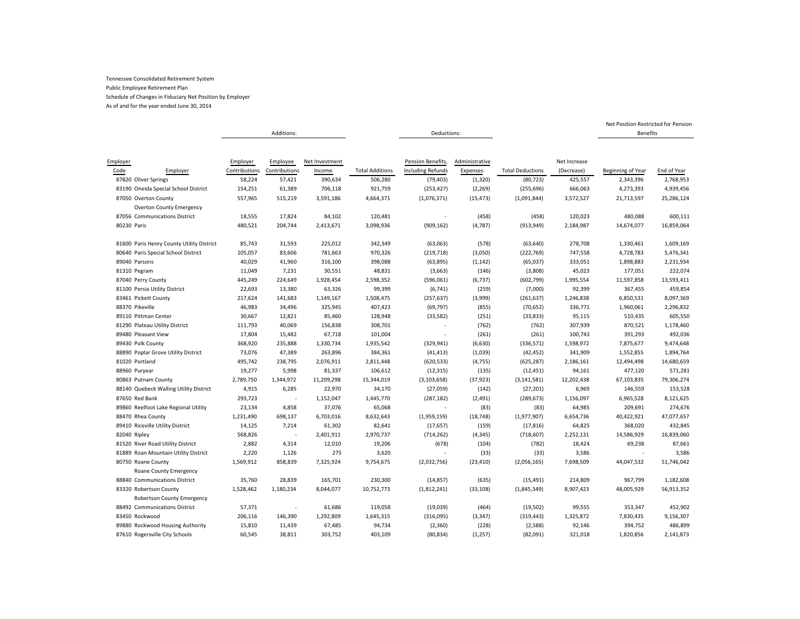As of and for the year ended June 30, 2014

|                                           |               | Additions:    |                |                        | Deductions:              |                |                         |              | <b>Benefits</b>   |             |
|-------------------------------------------|---------------|---------------|----------------|------------------------|--------------------------|----------------|-------------------------|--------------|-------------------|-------------|
|                                           |               |               |                |                        |                          |                |                         |              |                   |             |
|                                           |               |               |                |                        |                          |                |                         |              |                   |             |
| Employer                                  | Employer      | Employee      | Net Investment |                        | Pension Benefits,        | Administrative |                         | Net Increase |                   |             |
| Code<br>Employer                          | Contributions | Contributions | Income         | <b>Total Additions</b> | <b>Including Refunds</b> | Expenses       | <b>Total Deductions</b> | (Decrease)   | Beginning of Year | End of Year |
| 87820 Oliver Springs                      | 58,224        | 57,421        | 390,634        | 506,280                | (79, 403)                | (1, 320)       | (80, 723)               | 425,557      | 2,343,396         | 2,768,953   |
| 83190 Oneida Special School District      | 154,251       | 61,389        | 706,118        | 921,759                | (253, 427)               | (2, 269)       | (255, 696)              | 666,063      | 4,273,393         | 4,939,456   |
| 87050 Overton County                      | 557,965       | 515,219       | 3,591,186      | 4,664,371              | (1,076,371)              | (15, 473)      | (1,091,844)             | 3,572,527    | 21,713,597        | 25,286,124  |
| <b>Overton County Emergency</b>           |               |               |                |                        |                          |                |                         |              |                   |             |
| 87056 Communications District             | 18,555        | 17,824        | 84,102         | 120,481                |                          | (458)          | (458)                   | 120,023      | 480,088           | 600,111     |
| 80230 Paris                               | 480,521       | 204,744       | 2,413,671      | 3,098,936              | (909, 162)               | (4,787)        | (913, 949)              | 2,184,987    | 14,674,077        | 16,859,064  |
| 81600 Paris Henry County Utility District | 85,743        | 31,593        | 225,012        | 342,349                | (63,063)                 | (578)          | (63, 640)               | 278,708      | 1,330,461         | 1,609,169   |
| 80640 Paris Special School District       | 105,057       | 83,606        | 781,663        | 970,326                | (219, 718)               | (3,050)        | (222, 769)              | 747,558      | 4,728,783         | 5,476,341   |
| 89040 Parsons                             | 40,029        | 41,960        | 316,100        | 398,088                | (63,895)                 | (1, 142)       | (65,037)                | 333,051      | 1,898,883         | 2,231,934   |
| 81310 Pegram                              | 11,049        | 7,231         | 30,551         | 48,831                 | (3,663)                  | (146)          | (3,808)                 | 45,023       | 177,051           | 222,074     |
| 87040 Perry County                        | 445,249       | 224,649       | 1,928,454      | 2,598,352              | (596,061)                | (6, 737)       | (602, 799)              | 1,995,554    | 11,597,858        | 13,593,411  |
| 81100 Persia Utility District             | 22,693        | 13,380        | 63,326         | 99,399                 | (6, 741)                 | (259)          | (7,000)                 | 92,399       | 367,455           | 459,854     |
| 83461 Pickett County                      | 217,624       | 141,683       | 1,149,167      | 1,508,475              | (257, 637)               | (3,999)        | (261, 637)              | 1,246,838    | 6,850,531         | 8,097,369   |
| 88370 Pikeville                           | 46,983        | 34,496        | 325,945        | 407,423                | (69, 797)                | (855)          | (70, 652)               | 336,771      | 1,960,061         | 2,296,832   |
| 89110 Pittman Center                      | 30,667        | 12,821        | 85,460         | 128,948                | (33, 582)                | (251)          | (33, 833)               | 95,115       | 510,435           | 605,550     |
| 81290 Plateau Utility District            | 111,793       | 40,069        | 156,838        | 308,701                |                          | (762)          | (762)                   | 307,939      | 870,521           | 1,178,460   |
| 89480 Pleasant View                       | 17,804        | 15,482        | 67,718         | 101,004                | ×.                       | (261)          | (261)                   | 100,743      | 391,293           | 492,036     |
| 89430 Polk County                         | 368,920       | 235,888       | 1,330,734      | 1,935,542              | (329, 941)               | (6,630)        | (336, 571)              | 1,598,972    | 7,875,677         | 9,474,648   |
| 88890 Poplar Grove Utility District       | 73,076        | 47,389        | 263,896        | 384,361                | (41, 413)                | (1,039)        | (42, 452)               | 341,909      | 1,552,855         | 1,894,764   |
| 81020 Portland                            | 495,742       | 238,795       | 2,076,911      | 2,811,448              | (620, 533)               | (4, 755)       | (625, 287)              | 2,186,161    | 12,494,498        | 14,680,659  |
| 88960 Puryear                             | 19,277        | 5,998         | 81,337         | 106,612                | (12, 315)                | (135)          | (12, 451)               | 94,161       | 477,120           | 571,281     |
| 80863 Putnam County                       | 2,789,750     | 1,344,972     | 11,209,298     | 15,344,019             | (3, 103, 658)            | (37, 923)      | (3, 141, 581)           | 12,202,438   | 67,103,835        | 79,306,274  |
| 88140 Quebeck Walling Utility District    | 4,915         | 6,285         | 22,970         | 34,170                 | (27,059)                 | (142)          | (27, 201)               | 6,969        | 146,559           | 153,528     |
| 87650 Red Bank                            | 293,723       | $\sim$        | 1,152,047      | 1,445,770              | (287, 182)               | (2,491)        | (289, 673)              | 1,156,097    | 6,965,528         | 8,121,625   |
| 89860 Reelfoot Lake Regional Utility      | 23,134        | 4,858         | 37,076         | 65,068                 |                          | (83)           | (83)                    | 64,985       | 209,691           | 274,676     |
| 88470 Rhea County                         | 1,231,490     | 698,137       | 6,703,016      | 8,632,643              | (1,959,159)              | (18, 748)      | (1,977,907)             | 6,654,736    | 40,422,921        | 47,077,657  |
| 89410 Riceville Utility District          | 14,125        | 7,214         | 61,302         | 82,641                 | (17, 657)                | (159)          | (17, 816)               | 64,825       | 368,020           | 432,845     |
| 82040 Ripley                              | 568,826       |               | 2,401,911      | 2,970,737              | (714, 262)               | (4, 345)       | (718, 607)              | 2,252,131    | 14,586,929        | 16,839,060  |
| 81520 River Road Utility District         | 2,882         | 4,314         | 12,010         | 19,206                 | (678)                    | (104)          | (782)                   | 18,424       | 69,238            | 87,661      |
| 81889 Roan Mountain Utility District      | 2,220         | 1,126         | 275            | 3,620                  |                          | (33)           | (33)                    | 3,586        |                   | 3,586       |
| 80750 Roane County                        | 1,569,912     | 858,839       | 7,325,924      | 9,754,675              | (2,032,756)              | (23, 410)      | (2,056,165)             | 7,698,509    | 44,047,532        | 51,746,042  |
| Roane County Emergency                    |               |               |                |                        |                          |                |                         |              |                   |             |
| 88840 Communications District             | 35,760        | 28,839        | 165,701        | 230,300                | (14, 857)                | (635)          | (15, 491)               | 214,809      | 967,799           | 1,182,608   |
| 83320 Robertson County                    | 1,528,462     | 1,180,234     | 8,044,077      | 10,752,773             | (1,812,241)              | (33, 108)      | (1,845,349)             | 8,907,423    | 48,005,929        | 56,913,352  |
| Robertson County Emergency                |               |               |                |                        |                          |                |                         |              |                   |             |
| 88492 Communications District             | 57,371        |               | 61,686         | 119,058                | (19,039)                 | (464)          | (19, 502)               | 99,555       | 353,347           | 452,902     |
| 83450 Rockwood                            | 206,116       | 146,390       | 1,292,809      | 1,645,315              | (316,095)                | (3, 347)       | (319, 443)              | 1,325,872    | 7,830,435         | 9,156,307   |
| 89880 Rockwood Housing Authority          | 15,810        | 11,439        | 67,485         | 94,734                 | (2,360)                  | (228)          | (2,588)                 | 92,146       | 394,752           | 486,899     |
| 87610 Rogersville City Schools            | 60,545        | 38,811        | 303,752        | 403,109                | (80, 834)                | (1, 257)       | (82,091)                | 321,018      | 1,820,856         | 2,141,873   |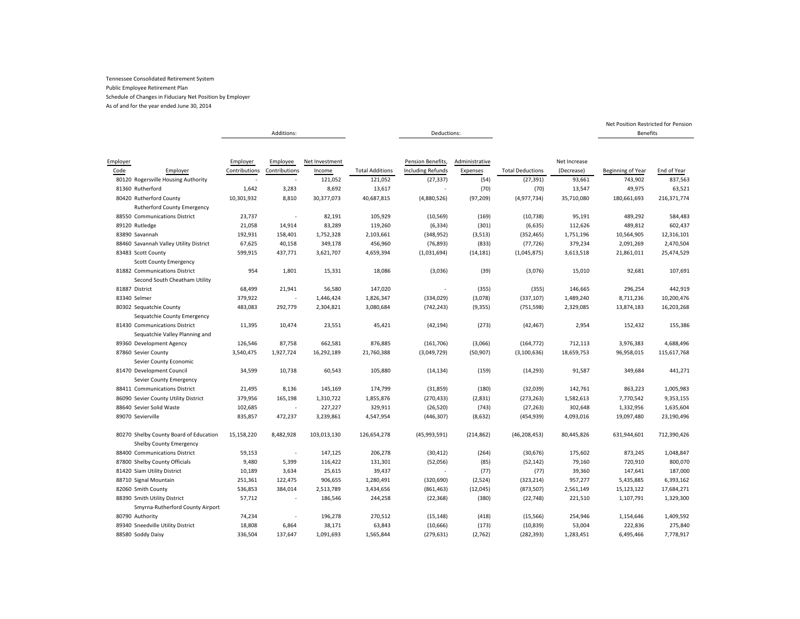As of and for the year ended June 30, 2014

|                                                                          | Additions:    |                          |                |                        | Deductions:              |                |                         |              | <b>Benefits</b>   |             |
|--------------------------------------------------------------------------|---------------|--------------------------|----------------|------------------------|--------------------------|----------------|-------------------------|--------------|-------------------|-------------|
|                                                                          |               |                          |                |                        |                          |                |                         |              |                   |             |
| Employer                                                                 | Employer      | Employee                 | Net Investment |                        | Pension Benefits,        | Administrative |                         | Net Increase |                   |             |
| Code<br>Employer                                                         | Contributions | Contributions            | Income         | <b>Total Additions</b> | <b>Including Refunds</b> | Expenses       | <b>Total Deductions</b> | (Decrease)   | Beginning of Year | End of Year |
| 80120 Rogersville Housing Authority                                      |               | $\overline{\phantom{a}}$ | 121,052        | 121,052                | (27, 337)                | (54)           | (27, 391)               | 93,661       | 743,902           | 837,563     |
| 81360 Rutherford                                                         | 1,642         | 3,283                    | 8,692          | 13,617                 |                          | (70)           | (70)                    | 13,547       | 49,975            | 63,521      |
| 80420 Rutherford County<br><b>Rutherford County Emergency</b>            | 10,301,932    | 8,810                    | 30,377,073     | 40,687,815             | (4,880,526)              | (97, 209)      | (4, 977, 734)           | 35,710,080   | 180,661,693       | 216,371,774 |
| 88550 Communications District                                            | 23,737        | $\overline{\phantom{a}}$ | 82,191         | 105,929                | (10, 569)                | (169)          | (10, 738)               | 95,191       | 489,292           | 584,483     |
| 89120 Rutledge                                                           | 21,058        | 14,914                   | 83,289         | 119,260                | (6, 334)                 | (301)          | (6, 635)                | 112,626      | 489,812           | 602,437     |
| 83890 Savannah                                                           | 192,931       | 158,401                  | 1,752,328      | 2,103,661              | (348, 952)               | (3,513)        | (352, 465)              | 1,751,196    | 10,564,905        | 12,316,101  |
| 88460 Savannah Valley Utility District                                   | 67,625        | 40,158                   | 349,178        | 456,960                | (76, 893)                | (833)          | (77, 726)               | 379,234      | 2,091,269         | 2,470,504   |
| 83483 Scott County<br><b>Scott County Emergency</b>                      | 599,915       | 437,771                  | 3,621,707      | 4,659,394              | (1,031,694)              | (14, 181)      | (1,045,875)             | 3,613,518    | 21,861,011        | 25,474,529  |
| 81882 Communications District<br>Second South Cheatham Utility           | 954           | 1,801                    | 15,331         | 18,086                 | (3,036)                  | (39)           | (3,076)                 | 15,010       | 92,681            | 107,691     |
| 81887 District                                                           | 68,499        | 21,941                   | 56,580         | 147,020                | $\overline{\phantom{a}}$ | (355)          | (355)                   | 146,665      | 296,254           | 442,919     |
| 83340 Selmer                                                             | 379,922       |                          | 1,446,424      | 1,826,347              | (334, 029)               | (3,078)        | (337, 107)              | 1,489,240    | 8,711,236         | 10,200,476  |
| 80302 Sequatchie County                                                  | 483,083       | 292,779                  | 2,304,821      | 3,080,684              | (742, 243)               | (9, 355)       | (751, 598)              | 2,329,085    | 13,874,183        | 16,203,268  |
| Sequatchie County Emergency                                              |               |                          |                |                        |                          |                |                         |              |                   |             |
| 81430 Communications District<br>Sequatchie Valley Planning and          | 11,395        | 10,474                   | 23,551         | 45,421                 | (42, 194)                | (273)          | (42, 467)               | 2,954        | 152,432           | 155,386     |
| 89360 Development Agency                                                 | 126,546       | 87,758                   | 662,581        | 876,885                | (161, 706)               | (3,066)        | (164, 772)              | 712,113      | 3,976,383         | 4,688,496   |
| 87860 Sevier County                                                      | 3,540,475     | 1,927,724                | 16,292,189     | 21,760,388             | (3,049,729)              | (50, 907)      | (3, 100, 636)           | 18,659,753   | 96,958,015        | 115,617,768 |
| Sevier County Economic                                                   |               |                          |                |                        |                          |                |                         |              |                   |             |
| 81470 Development Council<br>Sevier County Emergency                     | 34,599        | 10,738                   | 60,543         | 105,880                | (14, 134)                | (159)          | (14, 293)               | 91,587       | 349,684           | 441,271     |
| 88411 Communications District                                            | 21,495        | 8,136                    | 145,169        | 174,799                | (31, 859)                | (180)          | (32,039)                | 142,761      | 863,223           | 1,005,983   |
| 86090 Sevier County Utility District                                     | 379,956       | 165,198                  | 1,310,722      | 1,855,876              | (270, 433)               | (2,831)        | (273, 263)              | 1,582,613    | 7,770,542         | 9,353,155   |
| 88640 Sevier Solid Waste                                                 | 102,685       |                          | 227,227        | 329,911                | (26, 520)                | (743)          | (27, 263)               | 302,648      | 1,332,956         | 1,635,604   |
| 89070 Sevierville                                                        | 835,857       | 472,237                  | 3,239,861      | 4,547,954              | (446, 307)               | (8,632)        | (454, 939)              | 4,093,016    | 19,097,480        | 23,190,496  |
|                                                                          |               |                          |                |                        |                          |                |                         |              |                   |             |
| 80270 Shelby County Board of Education<br><b>Shelby County Emergency</b> | 15,158,220    | 8,482,928                | 103,013,130    | 126,654,278            | (45,993,591)             | (214, 862)     | (46, 208, 453)          | 80,445,826   | 631,944,601       | 712,390,426 |
| 88400 Communications District                                            | 59,153        | $\overline{\phantom{a}}$ | 147,125        | 206,278                | (30, 412)                | (264)          | (30, 676)               | 175,602      | 873,245           | 1,048,847   |
| 87800 Shelby County Officials                                            | 9,480         | 5,399                    | 116,422        | 131,301                | (52,056)                 | (85)           | (52, 142)               | 79,160       | 720,910           | 800,070     |
| 81420 Siam Utility District                                              | 10,189        | 3,634                    | 25,615         | 39,437                 | $\overline{\phantom{a}}$ | (77)           | (77)                    | 39,360       | 147,641           | 187,000     |
| 88710 Signal Mountain                                                    | 251,361       | 122,475                  | 906,655        | 1,280,491              | (320, 690)               | (2,524)        | (323, 214)              | 957,277      | 5,435,885         | 6,393,162   |
| 82060 Smith County                                                       |               | 384,014                  | 2,513,789      |                        |                          |                |                         | 2,561,149    | 15,123,122        |             |
|                                                                          | 536,853       | $\overline{\phantom{a}}$ |                | 3,434,656              | (861, 463)               | (12, 045)      | (873, 507)              |              | 1,107,791         | 17,684,271  |
| 88390 Smith Utility District<br>Smyrna-Rutherford County Airport         | 57,712        |                          | 186,546        | 244,258                | (22, 368)                | (380)          | (22, 748)               | 221,510      |                   | 1,329,300   |
| 80790 Authority                                                          | 74,234        |                          | 196,278        | 270,512                | (15, 148)                | (418)          | (15, 566)               | 254,946      | 1,154,646         | 1,409,592   |
| 89340 Sneedville Utility District                                        | 18,808        | 6,864                    | 38,171         | 63,843                 | (10, 666)                | (173)          | (10, 839)               | 53,004       | 222,836           | 275,840     |
| 88580 Soddy Daisy                                                        | 336,504       | 137,647                  | 1,091,693      | 1,565,844              | (279, 631)               | (2,762)        | (282, 393)              | 1,283,451    | 6,495,466         | 7,778,917   |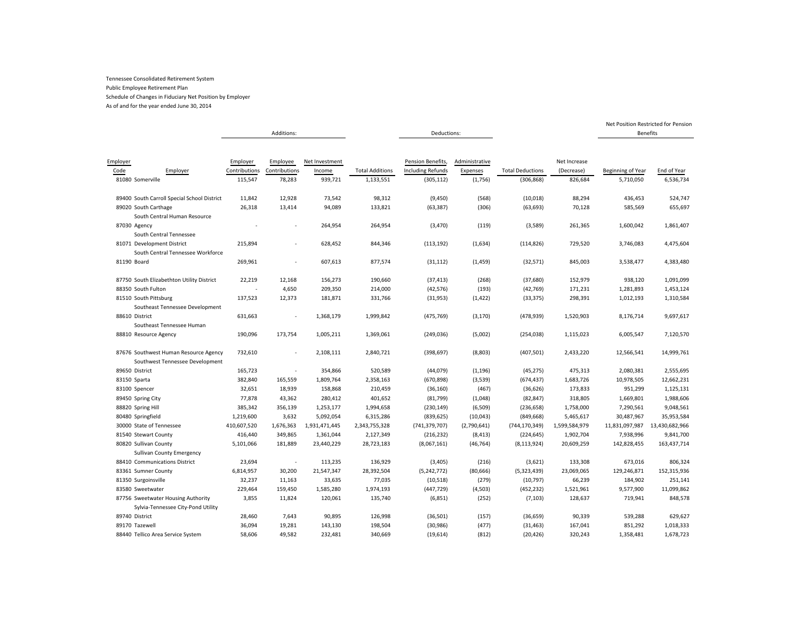As of and for the year ended June 30, 2014

|                                                                          |                                      | Additions:                          |                                     |                                     | Deductions:                                                 |                                       |                                       |                                       |                                | <b>Benefits</b>          |
|--------------------------------------------------------------------------|--------------------------------------|-------------------------------------|-------------------------------------|-------------------------------------|-------------------------------------------------------------|---------------------------------------|---------------------------------------|---------------------------------------|--------------------------------|--------------------------|
|                                                                          |                                      |                                     |                                     |                                     |                                                             |                                       |                                       |                                       |                                |                          |
| Employer<br>Code<br>Employer<br>81080 Somerville                         | Employer<br>Contributions<br>115,547 | Employee<br>Contributions<br>78,283 | Net Investment<br>Income<br>939,721 | <b>Total Additions</b><br>1,133,551 | Pension Benefits,<br><b>Including Refunds</b><br>(305, 112) | Administrative<br>Expenses<br>(1,756) | <b>Total Deductions</b><br>(306, 868) | Net Increase<br>(Decrease)<br>826,684 | Beginning of Year<br>5,710,050 | End of Year<br>6,536,734 |
| 89400 South Carroll Special School District                              | 11,842                               | 12,928                              | 73,542                              | 98,312                              | (9,450)                                                     | (568)                                 | (10, 018)                             | 88,294                                | 436,453                        | 524,747                  |
| 89020 South Carthage                                                     | 26,318                               | 13,414                              | 94,089                              | 133,821                             | (63, 387)                                                   | (306)                                 | (63, 693)                             | 70,128                                | 585,569                        | 655,697                  |
| South Central Human Resource                                             |                                      |                                     |                                     |                                     |                                                             |                                       |                                       |                                       |                                |                          |
| 87030 Agency<br>South Central Tennessee                                  |                                      |                                     | 264,954                             | 264,954                             | (3, 470)                                                    | (119)                                 | (3,589)                               | 261,365                               | 1,600,042                      | 1,861,407                |
| 81071 Development District<br>South Central Tennessee Workforce          | 215,894                              |                                     | 628,452                             | 844,346                             | (113, 192)                                                  | (1,634)                               | (114, 826)                            | 729,520                               | 3,746,083                      | 4,475,604                |
| 81190 Board                                                              | 269,961                              |                                     | 607,613                             | 877,574                             | (31, 112)                                                   | (1, 459)                              | (32, 571)                             | 845,003                               | 3,538,477                      | 4,383,480                |
| 87750 South Elizabethton Utility District                                | 22,219                               | 12,168                              | 156,273                             | 190,660                             | (37, 413)                                                   | (268)                                 | (37,680)                              | 152,979                               | 938,120                        | 1,091,099                |
| 88350 South Fulton                                                       |                                      | 4,650                               | 209,350                             | 214,000                             | (42, 576)                                                   | (193)                                 | (42, 769)                             | 171,231                               | 1,281,893                      | 1,453,124                |
| 81510 South Pittsburg                                                    | 137,523                              | 12,373                              | 181,871                             | 331,766                             | (31, 953)                                                   | (1, 422)                              | (33, 375)                             | 298,391                               | 1,012,193                      | 1,310,584                |
| Southeast Tennessee Development                                          |                                      |                                     |                                     |                                     |                                                             |                                       |                                       |                                       |                                |                          |
| 88610 District<br>Southeast Tennessee Human                              | 631,663                              |                                     | 1,368,179                           | 1,999,842                           | (475, 769)                                                  | (3, 170)                              | (478, 939)                            | 1,520,903                             | 8,176,714                      | 9,697,617                |
| 88810 Resource Agency                                                    | 190,096                              | 173,754                             | 1,005,211                           | 1,369,061                           | (249, 036)                                                  | (5,002)                               | (254, 038)                            | 1,115,023                             | 6,005,547                      | 7,120,570                |
| 87676 Southwest Human Resource Agency<br>Southwest Tennessee Development | 732,610                              |                                     | 2,108,111                           | 2,840,721                           | (398, 697)                                                  | (8,803)                               | (407, 501)                            | 2,433,220                             | 12,566,541                     | 14,999,761               |
| 89650 District                                                           | 165,723                              | ×                                   | 354,866                             | 520,589                             | (44,079)                                                    | (1, 196)                              | (45, 275)                             | 475,313                               | 2,080,381                      | 2,555,695                |
| 83150 Sparta                                                             | 382,840                              | 165,559                             | 1,809,764                           | 2,358,163                           | (670, 898)                                                  | (3,539)                               | (674, 437)                            | 1,683,726                             | 10,978,505                     | 12,662,231               |
| 83100 Spencer                                                            | 32,651                               | 18,939                              | 158,868                             | 210,459                             | (36, 160)                                                   | (467)                                 | (36, 626)                             | 173,833                               | 951,299                        | 1,125,131                |
| 89450 Spring City                                                        | 77,878                               | 43,362                              | 280,412                             | 401,652                             | (81,799)                                                    | (1,048)                               | (82, 847)                             | 318,805                               | 1,669,801                      | 1,988,606                |
| 88820 Spring Hill                                                        | 385,342                              | 356,139                             | 1,253,177                           | 1,994,658                           | (230, 149)                                                  | (6, 509)                              | (236, 658)                            | 1,758,000                             | 7,290,561                      | 9,048,561                |
| 80480 Springfield                                                        | 1,219,600                            | 3,632                               | 5,092,054                           | 6,315,286                           | (839, 625)                                                  | (10,043)                              | (849, 668)                            | 5,465,617                             | 30,487,967                     | 35,953,584               |
| 30000 State of Tennessee                                                 | 410,607,520                          | 1,676,363                           | 1,931,471,445                       | 2,343,755,328                       | (741, 379, 707)                                             | (2,790,641)                           | (744, 170, 349)                       | 1,599,584,979                         | 11,831,097,987                 | 13,430,682,966           |
| 81540 Stewart County                                                     | 416,440                              | 349,865                             | 1,361,044                           | 2,127,349                           | (216, 232)                                                  | (8, 413)                              | (224, 645)                            | 1,902,704                             | 7,938,996                      | 9,841,700                |
| 80820 Sullivan County                                                    | 5,101,066                            | 181,889                             | 23,440,229                          | 28,723,183                          | (8,067,161)                                                 | (46, 764)                             | (8, 113, 924)                         | 20,609,259                            | 142,828,455                    | 163,437,714              |
| <b>Sullivan County Emergency</b>                                         |                                      |                                     |                                     |                                     |                                                             |                                       |                                       |                                       |                                |                          |
| 88410 Communications District                                            | 23,694                               | ä,                                  | 113,235                             | 136,929                             | (3,405)                                                     | (216)                                 | (3,621)                               | 133,308                               | 673,016                        | 806,324                  |
| 83361 Sumner County                                                      | 6,814,957                            | 30,200                              | 21,547,347                          | 28,392,504                          | (5,242,772)                                                 | (80, 666)                             | (5,323,439)                           | 23,069,065                            | 129,246,871                    | 152,315,936              |
| 81350 Surgoinsville                                                      | 32,237                               | 11,163                              | 33,635                              | 77,035                              | (10, 518)                                                   | (279)                                 | (10, 797)                             | 66,239                                | 184,902                        | 251,141                  |
| 83580 Sweetwater                                                         | 229,464                              | 159,450                             | 1,585,280                           | 1,974,193                           | (447, 729)                                                  | (4, 503)                              | (452, 232)                            | 1,521,961                             | 9,577,900                      | 11,099,862               |
| 87756 Sweetwater Housing Authority<br>Sylvia-Tennessee City-Pond Utility | 3,855                                | 11,824                              | 120,061                             | 135,740                             | (6, 851)                                                    | (252)                                 | (7, 103)                              | 128,637                               | 719,941                        | 848,578                  |
| 89740 District                                                           |                                      | 7,643                               | 90,895                              |                                     | (36, 501)                                                   | (157)                                 | (36, 659)                             | 90,339                                |                                | 629,627                  |
| 89170 Tazewell                                                           | 28,460<br>36,094                     | 19,281                              | 143,130                             | 126,998<br>198,504                  | (30, 986)                                                   | (477)                                 | (31, 463)                             | 167,041                               | 539,288<br>851,292             | 1,018,333                |
| 88440 Tellico Area Service System                                        | 58,606                               | 49,582                              | 232,481                             | 340,669                             | (19, 614)                                                   | (812)                                 | (20, 426)                             | 320,243                               | 1,358,481                      | 1,678,723                |
|                                                                          |                                      |                                     |                                     |                                     |                                                             |                                       |                                       |                                       |                                |                          |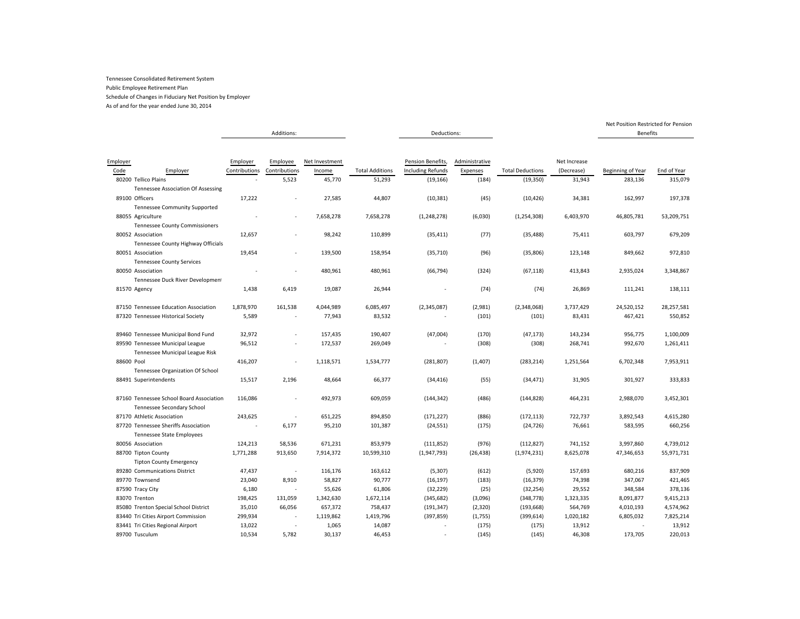As of and for the year ended June 30, 2014

|            |                                          |               |               |                |                        |                          |                |                         |              | Net Position Restricted for Pension |             |
|------------|------------------------------------------|---------------|---------------|----------------|------------------------|--------------------------|----------------|-------------------------|--------------|-------------------------------------|-------------|
|            |                                          |               | Additions:    |                |                        | Deductions:              |                |                         |              | <b>Benefits</b>                     |             |
|            |                                          |               |               |                |                        |                          |                |                         |              |                                     |             |
|            |                                          |               |               |                |                        |                          |                |                         |              |                                     |             |
| Employer   |                                          | Employer      | Employee      | Net Investment |                        | Pension Benefits,        | Administrative |                         | Net Increase |                                     |             |
| Code       | Employer                                 | Contributions | Contributions | Income         | <b>Total Additions</b> | <b>Including Refunds</b> | Expenses       | <b>Total Deductions</b> | (Decrease)   | Beginning of Year                   | End of Year |
|            | 80200 Tellico Plains                     |               | 5,523         | 45,770         | 51,293                 | (19, 166)                | (184)          | (19, 350)               | 31,943       | 283,136                             | 315,079     |
|            | Tennessee Association Of Assessing       |               |               |                |                        |                          |                |                         |              |                                     |             |
|            | 89100 Officers                           | 17,222        |               | 27,585         | 44,807                 | (10, 381)                | (45)           | (10, 426)               | 34,381       | 162,997                             | 197,378     |
|            | <b>Tennessee Community Supported</b>     |               |               |                |                        |                          |                |                         |              |                                     |             |
|            | 88055 Agriculture                        |               | $\sim$        | 7,658,278      | 7,658,278              | (1, 248, 278)            | (6,030)        | (1, 254, 308)           | 6,403,970    | 46,805,781                          | 53,209,751  |
|            | <b>Tennessee County Commissioners</b>    |               |               |                |                        |                          |                |                         |              |                                     |             |
|            | 80052 Association                        | 12,657        |               | 98,242         | 110,899                | (35, 411)                | (77)           | (35, 488)               | 75,411       | 603,797                             | 679,209     |
|            | Tennessee County Highway Officials       |               |               |                |                        |                          |                |                         |              |                                     |             |
|            | 80051 Association                        | 19,454        | ٠             | 139,500        | 158,954                | (35, 710)                | (96)           | (35,806)                | 123,148      | 849,662                             | 972,810     |
|            | <b>Tennessee County Services</b>         |               |               |                |                        |                          |                |                         |              |                                     |             |
|            | 80050 Association                        |               | $\sim$        | 480,961        | 480,961                | (66, 794)                | (324)          | (67, 118)               | 413,843      | 2,935,024                           | 3,348,867   |
|            | Tennessee Duck River Development         |               |               |                |                        |                          |                |                         |              |                                     |             |
|            | 81570 Agency                             | 1,438         | 6,419         | 19,087         | 26,944                 |                          | (74)           | (74)                    | 26,869       | 111,241                             | 138,111     |
|            |                                          |               |               |                |                        |                          |                |                         |              |                                     |             |
|            | 87150 Tennessee Education Association    | 1,878,970     | 161,538       | 4,044,989      | 6,085,497              | (2,345,087)              | (2,981)        | (2,348,068)             | 3,737,429    | 24,520,152                          | 28,257,581  |
|            | 87320 Tennessee Historical Society       | 5,589         |               | 77,943         | 83,532                 |                          | (101)          | (101)                   | 83,431       | 467,421                             | 550,852     |
|            |                                          |               |               |                |                        |                          |                |                         |              |                                     |             |
|            | 89460 Tennessee Municipal Bond Fund      | 32,972        | ٠             | 157,435        | 190,407                | (47,004)                 | (170)          | (47, 173)               | 143,234      | 956,775                             | 1,100,009   |
|            | 89590 Tennessee Municipal League         | 96,512        | $\sim$        | 172,537        | 269,049                |                          | (308)          | (308)                   | 268,741      | 992,670                             | 1,261,411   |
|            | Tennessee Municipal League Risk          |               |               |                |                        |                          |                |                         |              |                                     |             |
| 88600 Pool |                                          | 416,207       |               | 1,118,571      | 1,534,777              | (281, 807)               | (1,407)        | (283, 214)              | 1,251,564    | 6,702,348                           | 7,953,911   |
|            | Tennessee Organization Of School         |               |               |                |                        |                          |                |                         |              |                                     |             |
|            | 88491 Superintendents                    | 15,517        | 2,196         | 48,664         | 66,377                 | (34, 416)                | (55)           | (34, 471)               | 31,905       | 301,927                             | 333,833     |
|            |                                          |               |               |                |                        |                          |                |                         |              |                                     |             |
|            | 87160 Tennessee School Board Association | 116,086       | ٠             | 492,973        | 609,059                | (144, 342)               | (486)          | (144, 828)              | 464,231      | 2,988,070                           | 3,452,301   |
|            | Tennessee Secondary School               |               |               |                |                        |                          |                |                         |              |                                     |             |
|            | 87170 Athletic Association               | 243,625       |               | 651,225        | 894,850                | (171, 227)               | (886)          | (172, 113)              | 722,737      | 3,892,543                           | 4,615,280   |
|            | 87720 Tennessee Sheriffs Association     | $\sim$        | 6,177         | 95,210         | 101,387                | (24, 551)                | (175)          | (24, 726)               | 76,661       | 583,595                             | 660,256     |
|            | <b>Tennessee State Employees</b>         |               |               |                |                        |                          |                |                         |              |                                     |             |
|            | 80056 Association                        | 124,213       | 58,536        | 671,231        | 853,979                | (111, 852)               | (976)          | (112, 827)              | 741,152      | 3,997,860                           | 4,739,012   |
|            | 88700 Tipton County                      | 1,771,288     | 913,650       | 7,914,372      | 10,599,310             | (1,947,793)              | (26, 438)      | (1,974,231)             | 8,625,078    | 47,346,653                          | 55,971,731  |
|            | <b>Tipton County Emergency</b>           |               |               |                |                        |                          |                |                         |              |                                     |             |
|            | 89280 Communications District            | 47,437        |               | 116,176        | 163,612                | (5,307)                  | (612)          | (5,920)                 | 157,693      | 680,216                             | 837,909     |
|            | 89770 Townsend                           | 23,040        | 8,910         | 58,827         | 90,777                 | (16, 197)                | (183)          | (16, 379)               | 74,398       | 347,067                             | 421,465     |
|            |                                          |               |               |                |                        |                          |                |                         |              |                                     |             |
|            | 87590 Tracy City                         | 6,180         |               | 55,626         | 61,806                 | (32, 229)                | (25)           | (32, 254)               | 29,552       | 348,584                             | 378,136     |
|            | 83070 Trenton                            | 198,425       | 131,059       | 1,342,630      | 1,672,114              | (345, 682)               | (3,096)        | (348, 778)              | 1,323,335    | 8,091,877                           | 9,415,213   |
|            | 85080 Trenton Special School District    | 35,010        | 66,056        | 657,372        | 758,437                | (191, 347)               | (2,320)        | (193, 668)              | 564,769      | 4,010,193                           | 4,574,962   |
|            | 83440 Tri Cities Airport Commission      | 299,934       |               | 1,119,862      | 1,419,796              | (397, 859)               | (1,755)        | (399, 614)              | 1,020,182    | 6,805,032                           | 7,825,214   |
|            | 83441 Tri Cities Regional Airport        | 13,022        |               | 1,065          | 14,087                 |                          | (175)          | (175)                   | 13,912       |                                     | 13,912      |
|            | 89700 Tusculum                           | 10,534        | 5,782         | 30,137         | 46,453                 |                          | (145)          | (145)                   | 46,308       | 173,705                             | 220,013     |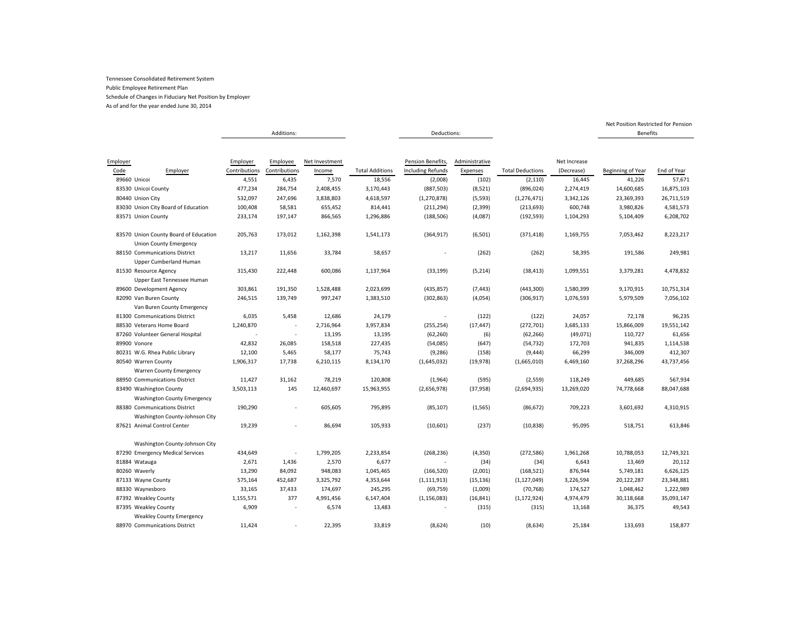As of and for the year ended June 30, 2014

|          |                                                                        | Additions:    |               |                |                        | Deductions:              |                |                         |              | <b>Benefits</b>   |             |
|----------|------------------------------------------------------------------------|---------------|---------------|----------------|------------------------|--------------------------|----------------|-------------------------|--------------|-------------------|-------------|
|          |                                                                        |               |               |                |                        |                          |                |                         |              |                   |             |
|          |                                                                        |               |               |                |                        |                          |                |                         |              |                   |             |
| Employer |                                                                        | Employer      | Employee      | Net Investment |                        | Pension Benefits,        | Administrative |                         | Net Increase |                   |             |
| Code     | Employer                                                               | Contributions | Contributions | Income         | <b>Total Additions</b> | <b>Including Refunds</b> | Expenses       | <b>Total Deductions</b> | (Decrease)   | Beginning of Year | End of Year |
|          | 89660 Unicoi                                                           | 4,551         | 6,435         | 7,570          | 18,556                 | (2,008)                  | (102)          | (2, 110)                | 16,445       | 41,226            | 57,671      |
|          | 83530 Unicoi County                                                    | 477,234       | 284,754       | 2,408,455      | 3,170,443              | (887, 503)               | (8,521)        | (896, 024)              | 2,274,419    | 14,600,685        | 16,875,103  |
|          | 80440 Union City                                                       | 532,097       | 247,696       | 3,838,803      | 4,618,597              | (1, 270, 878)            | (5, 593)       | (1, 276, 471)           | 3,342,126    | 23,369,393        | 26,711,519  |
|          | 83030 Union City Board of Education                                    | 100,408       | 58,581        | 655,452        | 814,441                | (211, 294)               | (2, 399)       | (213, 693)              | 600,748      | 3,980,826         | 4,581,573   |
|          | 83571 Union County                                                     | 233,174       | 197,147       | 866,565        | 1,296,886              | (188, 506)               | (4,087)        | (192, 593)              | 1,104,293    | 5,104,409         | 6,208,702   |
|          | 83570 Union County Board of Education<br><b>Union County Emergency</b> | 205,763       | 173,012       | 1,162,398      | 1,541,173              | (364, 917)               | (6,501)        | (371, 418)              | 1,169,755    | 7,053,462         | 8,223,217   |
|          | 88150 Communications District                                          | 13,217        | 11,656        | 33,784         | 58,657                 |                          | (262)          | (262)                   | 58,395       | 191,586           | 249,981     |
|          | Upper Cumberland Human                                                 |               |               |                |                        |                          |                |                         |              |                   |             |
|          | 81530 Resource Agency<br>Upper East Tennessee Human                    | 315,430       | 222,448       | 600,086        | 1,137,964              | (33, 199)                | (5, 214)       | (38, 413)               | 1,099,551    | 3,379,281         | 4,478,832   |
|          | 89600 Development Agency                                               | 303,861       | 191,350       | 1,528,488      | 2,023,699              | (435, 857)               | (7, 443)       | (443,300)               | 1,580,399    | 9,170,915         | 10,751,314  |
|          | 82090 Van Buren County                                                 | 246,515       | 139,749       | 997,247        | 1,383,510              | (302, 863)               | (4,054)        | (306, 917)              | 1,076,593    | 5,979,509         | 7,056,102   |
|          | Van Buren County Emergency                                             |               |               |                |                        |                          |                |                         |              |                   |             |
|          | 81300 Communications District                                          | 6,035         | 5,458         | 12,686         | 24,179                 |                          | (122)          | (122)                   | 24,057       | 72,178            | 96,235      |
|          | 88530 Veterans Home Board                                              | 1,240,870     |               | 2,716,964      | 3,957,834              | (255, 254)               | (17, 447)      | (272, 701)              | 3,685,133    | 15,866,009        | 19,551,142  |
|          | 87260 Volunteer General Hospital                                       |               |               | 13,195         | 13,195                 | (62, 260)                | (6)            | (62, 266)               | (49,071)     | 110,727           | 61,656      |
|          | 89900 Vonore                                                           | 42,832        | 26,085        | 158,518        | 227,435                | (54,085)                 | (647)          | (54, 732)               | 172,703      | 941,835           | 1,114,538   |
|          | 80231 W.G. Rhea Public Library                                         | 12,100        | 5,465         | 58,177         | 75,743                 | (9, 286)                 | (158)          | (9, 444)                | 66,299       | 346,009           | 412,307     |
|          | 80540 Warren County                                                    | 1,906,317     | 17,738        | 6,210,115      | 8,134,170              | (1,645,032)              | (19, 978)      | (1,665,010)             | 6,469,160    | 37,268,296        | 43,737,456  |
|          | Warren County Emergency                                                |               |               |                |                        |                          |                |                         |              |                   |             |
|          | 88950 Communications District                                          | 11,427        | 31,162        | 78,219         | 120,808                | (1,964)                  | (595)          | (2,559)                 | 118,249      | 449,685           | 567,934     |
|          | 83490 Washington County                                                | 3,503,113     | 145           | 12,460,697     | 15,963,955             | (2,656,978)              | (37, 958)      | (2,694,935)             | 13,269,020   | 74,778,668        | 88,047,688  |
|          | <b>Washington County Emergency</b>                                     |               |               |                |                        |                          |                |                         |              |                   |             |
|          | 88380 Communications District                                          | 190,290       |               | 605,605        | 795,895                | (85, 107)                | (1, 565)       | (86, 672)               | 709,223      | 3,601,692         | 4,310,915   |
|          | Washington County-Johnson City                                         |               |               |                |                        |                          |                |                         |              |                   |             |
|          | 87621 Animal Control Center                                            | 19,239        |               | 86,694         | 105,933                | (10, 601)                | (237)          | (10, 838)               | 95,095       | 518,751           | 613,846     |
|          | Washington County-Johnson City                                         |               |               |                |                        |                          |                |                         |              |                   |             |
|          | 87290 Emergency Medical Services                                       | 434,649       |               | 1,799,205      | 2,233,854              | (268, 236)               | (4, 350)       | (272, 586)              | 1,961,268    | 10,788,053        | 12,749,321  |
|          | 81884 Watauga                                                          | 2,671         | 1,436         | 2,570          | 6,677                  |                          | (34)           | (34)                    | 6,643        | 13,469            | 20,112      |
|          | 80260 Waverly                                                          | 13,290        | 84,092        | 948,083        | 1,045,465              | (166, 520)               | (2,001)        | (168, 521)              | 876,944      | 5,749,181         | 6,626,125   |
|          | 87133 Wayne County                                                     | 575,164       | 452,687       | 3,325,792      | 4,353,644              | (1, 111, 913)            | (15, 136)      | (1, 127, 049)           | 3,226,594    | 20,122,287        | 23,348,881  |
|          | 88330 Waynesboro                                                       | 33,165        | 37,433        | 174,697        | 245,295                | (69, 759)                | (1,009)        | (70, 768)               | 174,527      | 1,048,462         | 1,222,989   |
|          | 87392 Weakley County                                                   | 1,155,571     | 377           | 4,991,456      | 6,147,404              | (1, 156, 083)            | (16, 841)      | (1, 172, 924)           | 4,974,479    | 30,118,668        | 35,093,147  |
|          | 87395 Weakley County                                                   | 6,909         |               | 6,574          | 13,483                 |                          | (315)          | (315)                   | 13,168       | 36,375            | 49,543      |
|          | <b>Weakley County Emergency</b>                                        |               |               |                |                        |                          |                |                         |              |                   |             |
|          | 88970 Communications District                                          | 11,424        |               | 22,395         | 33,819                 | (8,624)                  | (10)           | (8,634)                 | 25,184       | 133,693           | 158,877     |